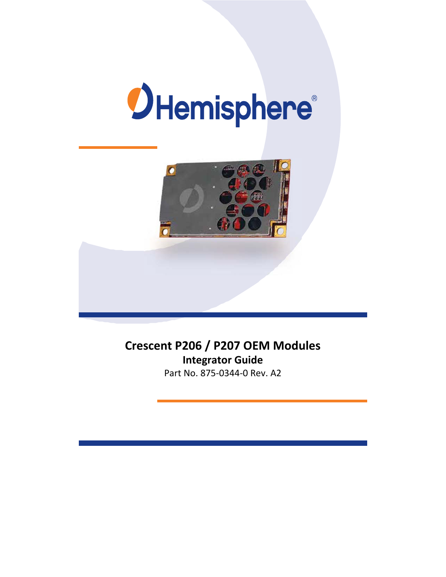



# **Crescent P206 / P207 OEM Modules Integrator Guide**

Part No. 875‐0344‐0 Rev. A2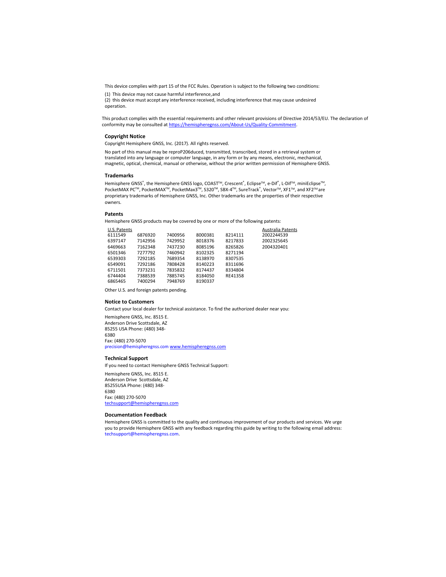This device complies with part 15 of the FCC Rules. Operation is subject to the following two conditions:

(1) This device may not cause harmful interference, and

(2) this device must accept any interference received, including interference that may cause undesired operation.

This product complies with the essential requirements and other relevant provisions of Directive 2014/53/EU. The declaration of conformity may be consulted at https://hemispheregnss.com/About‐Us/Quality‐Commitment.

#### **Copyright Notice**

Copyright Hemisphere GNSS, Inc. (2017). All rights reserved.

No part of this manual may be reproP206duced, transmitted, transcribed, stored in a retrieval system or translated into any language or computer language, in any form or by any means, electronic, mechanical, magnetic, optical, chemical, manual or otherwise, without the prior written permission of Hemisphere GNSS.

#### **Trademarks**

Hemisphere GNSS®, the Hemisphere GNSS logo, COAST™, Crescent®, Eclipse™, e-Dif®, L-Dif™, miniEclipse™, PocketMAX PC™, PocketMAX™, PocketMax3™, S320™, SBX-4™, SureTrack®, Vector™, XF1™, and XF2™ are proprietary trademarks of Hemisphere GNSS, Inc. Other trademarks are the properties of their respective owners.

#### **Patents**

Hemisphere GNSS products may be covered by one or more of the following patents:

| U.S. Patents |         |         |         |         | <b>Australia Patents</b> |
|--------------|---------|---------|---------|---------|--------------------------|
| 6111549      | 6876920 | 7400956 | 8000381 | 8214111 | 2002244539               |
| 6397147      | 7142956 | 7429952 | 8018376 | 8217833 | 2002325645               |
| 6469663      | 7162348 | 7437230 | 8085196 | 8265826 | 2004320401               |
| 6501346      | 7277792 | 7460942 | 8102325 | 8271194 |                          |
| 6539303      | 7292185 | 7689354 | 8138970 | 8307535 |                          |
| 6549091      | 7292186 | 7808428 | 8140223 | 8311696 |                          |
| 6711501      | 7373231 | 7835832 | 8174437 | 8334804 |                          |
| 6744404      | 7388539 | 7885745 | 8184050 | RE41358 |                          |
| 6865465      | 7400294 | 7948769 | 8190337 |         |                          |
|              |         |         |         |         |                          |

Other U.S. and foreign patents pending.

#### **Notice to Customers**

Contact your local dealer for technical assistance. To find the authorized dealer near you:

Hemisphere GNSS, Inc. 8515 E. Anderson Drive Scottsdale, AZ 85255 USA Phone: (480) 348‐ 6380 Fax: (480) 270‐5070 precision@hemispheregnss.com www.hemispheregnss.com

#### **Technical Support**

If you need to contact Hemisphere GNSS Technical Support:

Hemisphere GNSS, Inc. 8515 E. Anderson Drive Scottsdale, AZ 85255USA Phone: (480) 348‐ 6380 Fax: (480) 270‐5070 techsupport@hemispheregnss.com

#### **Documentation Feedback**

Hemisphere GNSS is committed to the quality and continuous improvement of our products and services. We urge you to provide Hemisphere GNSS with any feedback regarding this guide by writing to the following email address: techsupport@hemispheregnss.com.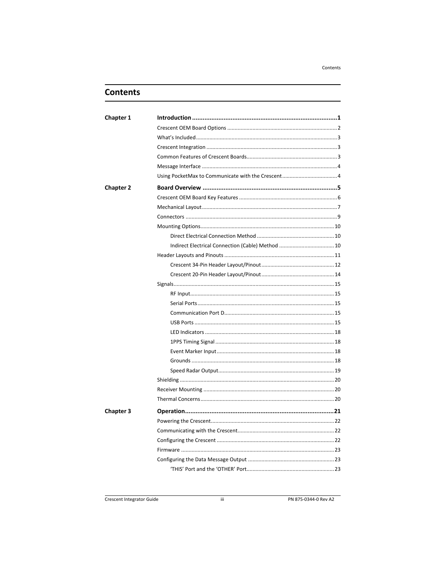Contents

# **Contents**

| <b>Chapter 1</b> |  |
|------------------|--|
|                  |  |
|                  |  |
|                  |  |
|                  |  |
|                  |  |
|                  |  |
| <b>Chapter 2</b> |  |
|                  |  |
|                  |  |
|                  |  |
|                  |  |
|                  |  |
|                  |  |
|                  |  |
|                  |  |
|                  |  |
|                  |  |
|                  |  |
|                  |  |
|                  |  |
|                  |  |
|                  |  |
|                  |  |
|                  |  |
|                  |  |
|                  |  |
|                  |  |
|                  |  |
|                  |  |
| <b>Chapter 3</b> |  |
|                  |  |
|                  |  |
|                  |  |
|                  |  |
|                  |  |
|                  |  |

PN 875-0344-0 Rev A2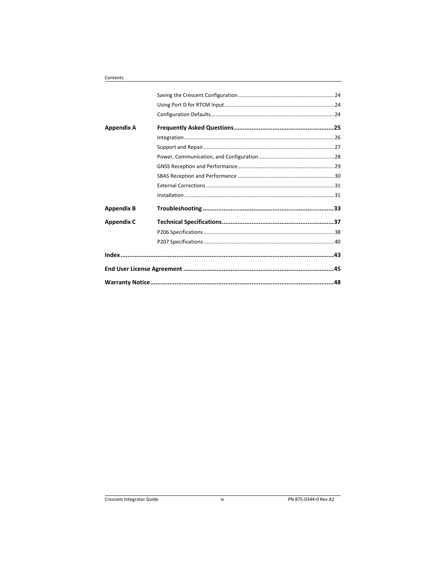| Appendix A        |  |
|-------------------|--|
|                   |  |
|                   |  |
|                   |  |
|                   |  |
|                   |  |
|                   |  |
|                   |  |
| <b>Appendix B</b> |  |
| <b>Appendix C</b> |  |
|                   |  |
|                   |  |
|                   |  |
|                   |  |
|                   |  |

Contents

 $iv$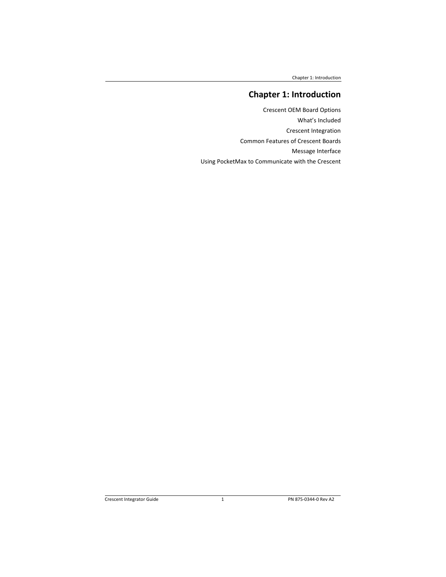Chapter 1: Introduction

# **Chapter 1: Introduction**

Crescent OEM Board Options What's Included Crescent Integration Common Features of Crescent Boards Message Interface Using PocketMax to Communicate with the Crescent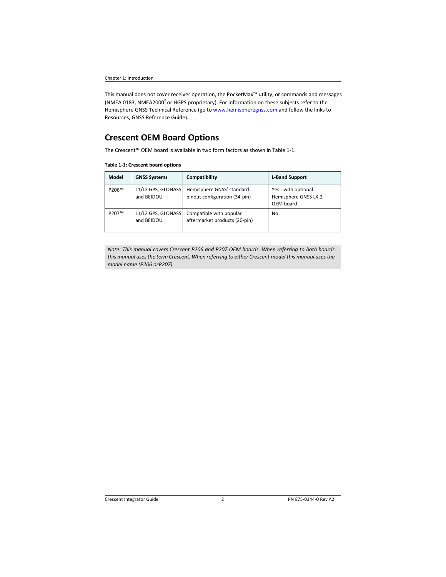Chapter 1: Introduction

This manual does not cover receiver operation, the PocketMax™ utility, or commands and messages (NMEA 0183, NMEA2000® or HGPS proprietary). For information on these subjects refer to the Hemisphere GNSS Technical Reference (go to www.hemispheregnss.com and follow the links to Resources, GNSS Reference Guide).

# **Crescent OEM Board Options**

The Crescent™ OEM board is available in two form factors as shown in Table 1‐1.

#### **Table 1‐1: Crescent board options**

| Model | <b>GNSS Systems</b>              | Compatibility                                              | <b>L-Band Support</b>                                    |
|-------|----------------------------------|------------------------------------------------------------|----------------------------------------------------------|
| P206™ | L1/L2 GPS, GLONASS<br>and BEIDOU | Hemisphere GNSS' standard<br>pinout configuration (34-pin) | Yes - with optional<br>Hemisphere GNSS LX-2<br>OEM board |
| P207™ | L1/L2 GPS, GLONASS<br>and BEIDOU | Compatible with popular<br>aftermarket products (20-pin)   | No                                                       |

*Note: This manual covers Crescent P206 and P207 OEM boards. When referring to both boards this manual uses the term Crescent. When referring to either Crescent model this manual uses the model name (P206 or P207).*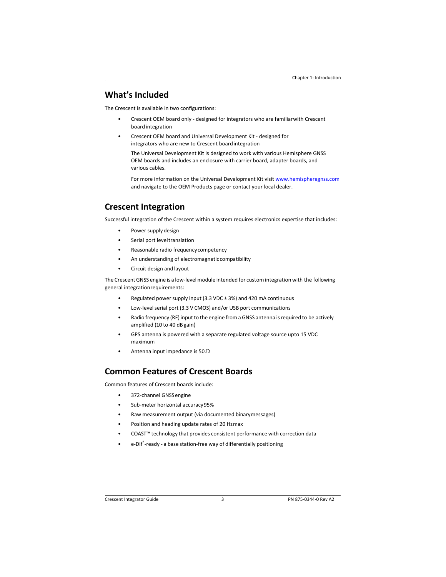### **What's Included**

The Crescent is available in two configurations:

- Crescent OEM board only ‐ designed for integrators who are familiar with Crescent board integration
- Crescent OEM board and Universal Development Kit ‐ designed for integrators who are new to Crescent board integration

The Universal Development Kit is designed to work with various Hemisphere GNSS OEM boards and includes an enclosure with carrier board, adapter boards, and various cables.

For more information on the Universal Development Kit visit www.hemispheregnss.com and navigate to the OEM Products page or contact your local dealer.

## **Crescent Integration**

Successful integration of the Crescent within a system requires electronics expertise that includes:

- Power supply design
- Serial port level translation
- Reasonable radio frequency competency
- An understanding of electromagnetic compatibility
- Circuit design and layout

The Crescent GNSS engine is a low‐level module intended for custom integration with the following general integration requirements:

- Regulated power supply input (3.3 VDC ± 3%) and 420 mA continuous
- Low‐level serial port (3.3 V CMOS) and/or USB port communications
- Radio frequency (RF) input to the engine from a GNSS antenna is required to be actively amplified (10 to 40 dB gain)
- GPS antenna is powered with a separate regulated voltage source upto 15 VDC maximum
- Antenna input impedance is  $50\Omega$

## **Common Features of Crescent Boards**

Common features of Crescent boards include:

- 372‐channel GNSS engine
- Sub‐meter horizontal accuracy 95%
- Raw measurement output (via documented binary messages)
- Position and heading update rates of 20 Hzmax
- COAST™ technology that provides consistent performance with correction data
- e-Dif®-ready a base station-free way of differentially positioning

Crescent Integrator Guide 3 PN 875‐0344‐0 Rev A2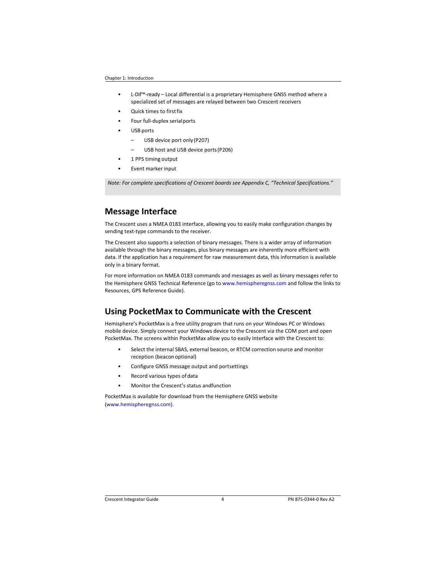- L‐Dif™‐ready Local differential is a proprietary Hemisphere GNSS method where a specialized set of messages are relayed between two Crescent receivers
- Quick times to first fix
- Four full‐duplex serial ports
- USB ports
	- USB device port only (P207)
	- USB host and USB device ports (P206)
- 1 PPS timing output
- Event marker input

*Note: For complete specifications of Crescent boards see Appendix C, "Technical Specifications."* 

### **Message Interface**

The Crescent uses a NMEA 0183 interface, allowing you to easily make configuration changes by sending text-type commands to the receiver.

The Crescent also supports a selection of binary messages. There is a wider array of information available through the binary messages, plus binary messages are inherently more efficient with data. If the application has a requirement for raw measurement data, this information is available only in a binary format.

For more information on NMEA 0183 commands and messages as well as binary messages refer to the Hemisphere GNSS Technical Reference (go to www.hemispheregnss.com and follow the links to Resources, GPS Reference Guide).

### **Using PocketMax to Communicate with the Crescent**

Hemisphere's PocketMax is a free utility program that runs on your Windows PC or Windows mobile device. Simply connect your Windows device to the Crescent via the COM port and open PocketMax. The screens within PocketMax allow you to easily interface with the Crescent to:

- Select the internal SBAS, external beacon, or RTCM correction source and monitor reception (beacon optional)
- Configure GNSS message output and portsettings
- Record various types of data
- Monitor the Crescent's status and function

PocketMax is available for download from the Hemisphere GNSS website (www.hemispheregnss.com).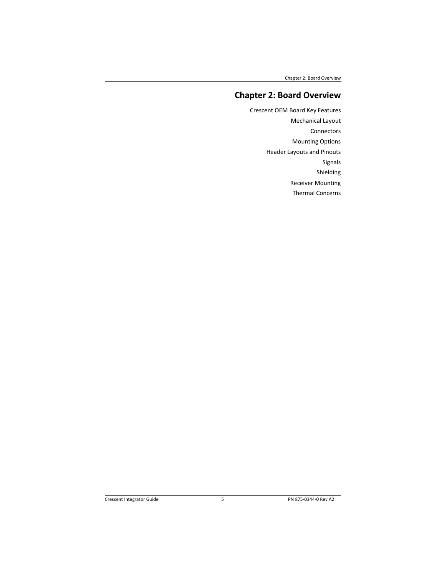Chapter 2: Board Overview

# **Chapter 2: Board Overview**

Crescent OEM Board Key Features Mechanical Layout Connectors Mounting Options Header Layouts and Pinouts Signals Shielding Receiver Mounting Thermal Concerns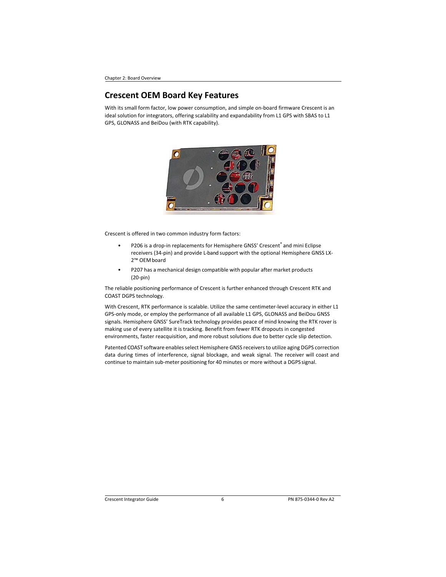Chapter 2: Board Overview

## **Crescent OEM Board Key Features**

With its small form factor, low power consumption, and simple on-board firmware Crescent is an ideal solution for integrators, offering scalability and expandability from L1 GPS with SBAS to L1 GPS, GLONASS and BeiDou (with RTK capability).



Crescent is offered in two common industry form factors:

- P206 is a drop-in replacements for Hemisphere GNSS' Crescent® and mini Eclipse receivers (34‐pin) and provide L‐band support with the optional Hemisphere GNSS LX‐ 2™ OEM board
- P207 has a mechanical design compatible with popular after market products (20‐pin)

The reliable positioning performance of Crescent is further enhanced through Crescent RTK and COAST DGPS technology.

With Crescent, RTK performance is scalable. Utilize the same centimeter-level accuracy in either L1 GPS‐only mode, or employ the performance of all available L1 GPS, GLONASS and BeiDou GNSS signals. Hemisphere GNSS' SureTrack technology provides peace of mind knowing the RTK rover is making use of every satellite it is tracking. Benefit from fewer RTK dropouts in congested environments, faster reacquisition, and more robust solutions due to better cycle slip detection.

Patented COAST software enables select Hemisphere GNSS receivers to utilize aging DGPS correction data during times of interference, signal blockage, and weak signal. The receiver will coast and continue to maintain sub‐meter positioning for 40 minutes or more without a DGPS signal.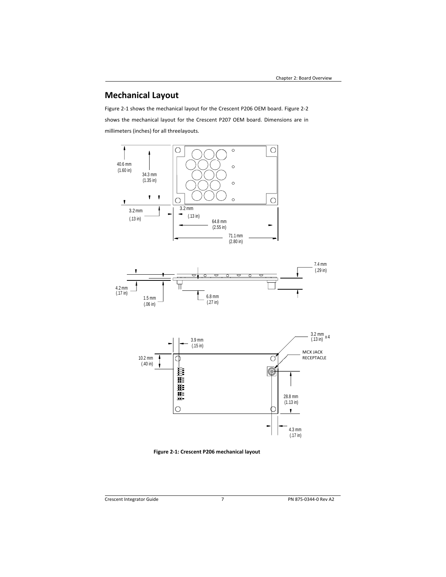# **Mechanical Layout**

Figure 2‐1 shows the mechanical layout for the Crescent P206 OEM board. Figure 2‐2 shows the mechanical layout for the Crescent P207 OEM board. Dimensions are in millimeters (inches) for all threelayouts.







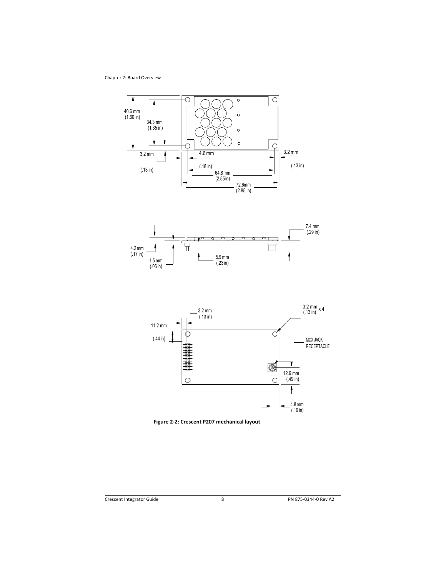





**Figure 2‐2: Crescent P207 mechanical layout**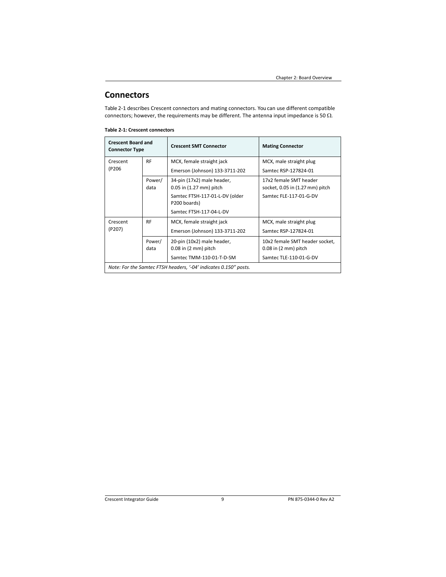# **Connectors**

Table 2-1 describes Crescent connectors and mating connectors. You can use different compatible connectors; however, the requirements may be different. The antenna input impedance is 50  $\Omega$ .

**Table 2‐1: Crescent connectors** 

| <b>Crescent Board and</b><br><b>Connector Type</b>                                             |                | <b>Crescent SMT Connector</b>                                                                                                          | <b>Mating Connector</b>                                                                      |
|------------------------------------------------------------------------------------------------|----------------|----------------------------------------------------------------------------------------------------------------------------------------|----------------------------------------------------------------------------------------------|
| Crescent                                                                                       | <b>RF</b>      | MCX, female straight jack                                                                                                              | MCX, male straight plug                                                                      |
| (P206                                                                                          |                | Emerson (Johnson) 133-3711-202                                                                                                         | Samtec RSP-127824-01                                                                         |
|                                                                                                | Power/<br>data | 34-pin (17x2) male header,<br>$0.05$ in $(1.27$ mm) pitch<br>Samtec FTSH-117-01-L-DV (older<br>P200 boards)<br>Samtec FTSH-117-04-L-DV | 17x2 female SMT header<br>socket, 0.05 in (1.27 mm) pitch<br>Samtec FLE-117-01-G-DV          |
| <b>RF</b><br>MCX, female straight jack<br>Crescent<br>(P207)<br>Emerson (Johnson) 133-3711-202 |                |                                                                                                                                        | MCX, male straight plug<br>Samtec RSP-127824-01                                              |
| Power/<br>data                                                                                 |                | 20-pin (10x2) male header,<br>$0.08$ in $(2 \text{ mm})$ pitch<br>Samtec TMM-110-01-T-D-SM                                             | 10x2 female SMT header socket,<br>$0.08$ in $(2 \text{ mm})$ pitch<br>Samtec TLE-110-01-G-DV |
| Note: For the Samtec FTSH headers, '-04' indicates 0.150" posts.                               |                |                                                                                                                                        |                                                                                              |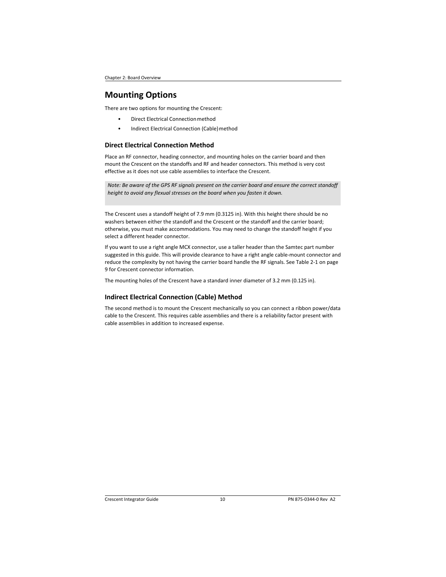### **Mounting Options**

There are two options for mounting the Crescent:

- Direct Electrical Connection method
- Indirect Electrical Connection (Cable) method

### **Direct Electrical Connection Method**

Place an RF connector, heading connector, and mounting holes on the carrier board and then mount the Crescent on the standoffs and RF and header connectors. This method is very cost effective as it does not use cable assemblies to interface the Crescent.

*Note: Be aware of the GPS RF signals present on the carrier board and ensure the correct standoff height to avoid any flexual stresses on the board when you fasten it down.* 

The Crescent uses a standoff height of 7.9 mm (0.3125 in). With this height there should be no washers between either the standoff and the Crescent or the standoff and the carrier board; otherwise, you must make accommodations. You may need to change the standoff height if you select a different header connector.

If you want to use a right angle MCX connector, use a taller header than the Samtec part number suggested in this guide. This will provide clearance to have a right angle cable‐mount connector and reduce the complexity by not having the carrier board handle the RF signals. See Table 2‐1 on page 9 for Crescent connector information.

The mounting holes of the Crescent have a standard inner diameter of 3.2 mm (0.125 in).

### **Indirect Electrical Connection (Cable) Method**

The second method is to mount the Crescent mechanically so you can connect a ribbon power/data cable to the Crescent. This requires cable assemblies and there is a reliability factor present with cable assemblies in addition to increased expense.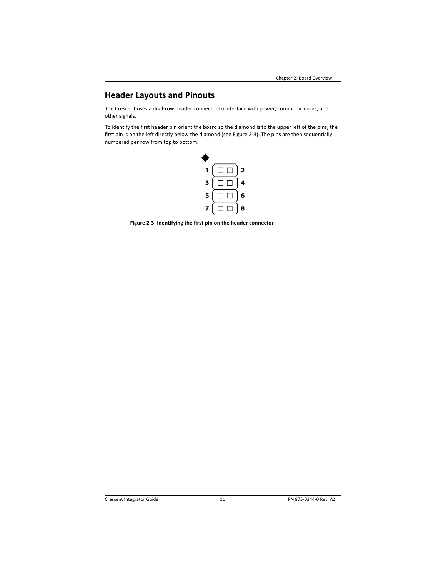# **Header Layouts and Pinouts**

The Crescent uses a dual‐row header connector to interface with power, communications, and other signals.

To identify the first header pin orient the board so the diamond is to the upper left of the pins; the first pin is on the left directly below the diamond (see Figure 2‐3). The pins are then sequentially numbered per row from top to bottom.



**Figure 2‐3: Identifying the first pin on the header connector**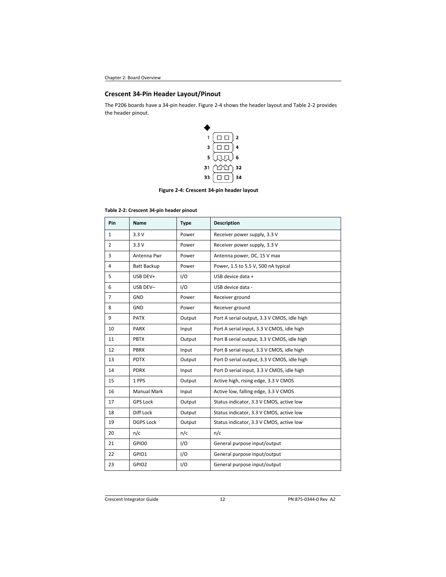## **Crescent 34‐Pin Header Layout/Pinout**

The P206 boards have a 34‐pin header. Figure 2‐4 shows the header layout and Table 2‐2 provides the header pinout.



**Figure 2‐4: Crescent 34‐pin header layout** 

| Table 2-2: Crescent 34-pin header pinout |  |  |  |
|------------------------------------------|--|--|--|
|------------------------------------------|--|--|--|

| Pin            | <b>Name</b>        | <b>Type</b> | <b>Description</b>                          |
|----------------|--------------------|-------------|---------------------------------------------|
| $\mathbf{1}$   | 3.3V               | Power       | Receiver power supply, 3.3 V                |
| $\overline{2}$ | 3.3V               | Power       | Receiver power supply, 3.3 V                |
| 3              | Antenna Pwr        | Power       | Antenna power, DC, 15 V max                 |
| 4              | <b>Batt Backup</b> | Power       | Power, 1.5 to 5.5 V, 500 nA typical         |
| 5              | USB DEV+           | 1/O         | USB device data +                           |
| 6              | USB DEV-           | 1/O         | USB device data -                           |
| $\overline{7}$ | GND                | Power       | Receiver ground                             |
| 8              | GND                | Power       | Receiver ground                             |
| 9              | <b>PATX</b>        | Output      | Port A serial output, 3.3 V CMOS, idle high |
| 10             | <b>PARX</b>        | Input       | Port A serial input, 3.3 V CMOS, idle high  |
| 11             | <b>PBTX</b>        | Output      | Port B serial output, 3.3 V CMOS, idle high |
| 12             | <b>PBRX</b>        | Input       | Port B serial input, 3.3 V CMOS, idle high  |
| 13             | <b>PDTX</b>        | Output      | Port D serial output, 3.3 V CMOS, idle high |
| 14             | <b>PDRX</b>        | Input       | Port D serial input, 3.3 V CMOS, idle high  |
| 15             | 1 PPS              | Output      | Active high, rising edge, 3.3 V CMOS        |
| 16             | <b>Manual Mark</b> | Input       | Active low, falling edge, 3.3 V CMOS        |
| 17             | <b>GPS Lock</b>    | Output      | Status indicator, 3.3 V CMOS, active low    |
| 18             | Diff Lock          | Output      | Status indicator, 3.3 V CMOS, active low    |
| 19             | <b>DGPS Lock</b>   | Output      | Status indicator, 3.3 V CMOS, active low    |
| 20             | n/c                | n/c         | n/c                                         |
| 21             | GPIO0              | I/O         | General purpose input/output                |
| 22             | GPIO1              | I/O         | General purpose input/output                |
| 23             | GPIO <sub>2</sub>  | I/O         | General purpose input/output                |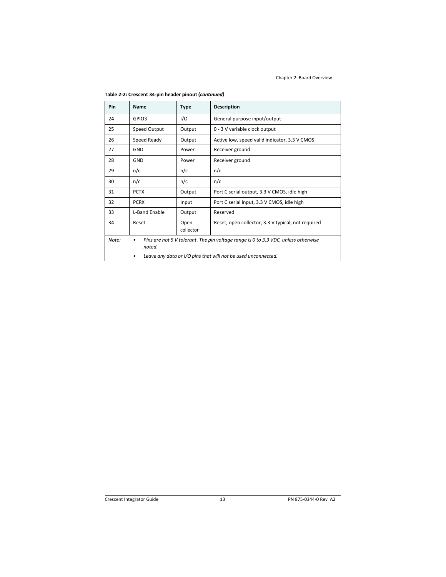| Pin   | Name                                                                                              | <b>Type</b> | <b>Description</b>                                 |
|-------|---------------------------------------------------------------------------------------------------|-------------|----------------------------------------------------|
| 24    | GPIO3                                                                                             | I/O         | General purpose input/output                       |
| 25    | Speed Output                                                                                      | Output      | 0 - 3 V variable clock output                      |
| 26    | Speed Ready                                                                                       | Output      | Active low, speed valid indicator, 3.3 V CMOS      |
| 27    | GND                                                                                               | Power       | Receiver ground                                    |
| 28    | GND                                                                                               | Power       | Receiver ground                                    |
| 29    | n/c                                                                                               | n/c         | n/c                                                |
| 30    | n/c                                                                                               | n/c         | n/c                                                |
| 31    | <b>PCTX</b>                                                                                       | Output      | Port C serial output, 3.3 V CMOS, idle high        |
| 32    | <b>PCRX</b>                                                                                       | Input       | Port C serial input, 3.3 V CMOS, idle high         |
| 33    | L-Band Enable                                                                                     | Output      | Reserved                                           |
| 34    | Reset<br>Open<br>collector                                                                        |             | Reset, open collector, 3.3 V typical, not required |
| Note: | Pins are not 5 V tolerant. The pin voltage range is 0 to 3.3 VDC, unless otherwise<br>٠<br>noted. |             |                                                    |
|       | Leave any data or I/O pins that will not be used unconnected.                                     |             |                                                    |

**Table 2‐2: Crescent 34‐pin header pinout (***continued)*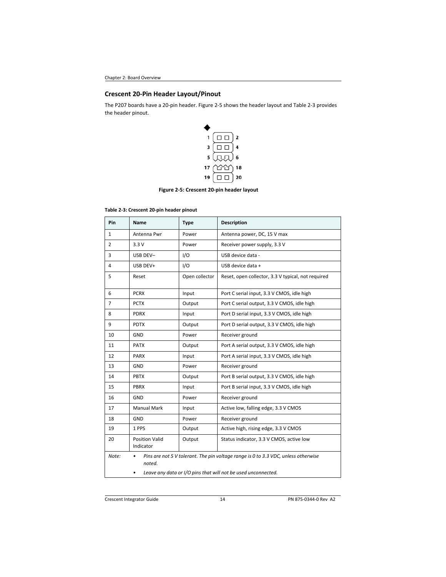## **Crescent 20‐Pin Header Layout/Pinout**

The P207 boards have a 20‐pin header. Figure 2‐5 shows the header layout and Table 2‐3 provides the header pinout.



**Figure 2‐5: Crescent 20‐pin header layout** 

| Table 2-3: Crescent 20-pin header pinout |  |  |
|------------------------------------------|--|--|
|                                          |  |  |

| Pin          | Name                                                               | <b>Type</b>    | <b>Description</b>                                                                 |  |
|--------------|--------------------------------------------------------------------|----------------|------------------------------------------------------------------------------------|--|
| $\mathbf{1}$ | Antenna Pwr                                                        | Power          | Antenna power, DC, 15 V max                                                        |  |
| 2            | 3.3V                                                               | Power          | Receiver power supply, 3.3 V                                                       |  |
| 3            | USB DEV-                                                           | 1/O            | USB device data -                                                                  |  |
| 4            | USB DEV+                                                           | 1/O            | USB device data +                                                                  |  |
| 5            | Reset                                                              | Open collector | Reset, open collector, 3.3 V typical, not required                                 |  |
| 6            | <b>PCRX</b>                                                        | Input          | Port C serial input, 3.3 V CMOS, idle high                                         |  |
| 7            | <b>PCTX</b>                                                        | Output         | Port C serial output, 3.3 V CMOS, idle high                                        |  |
| 8            | <b>PDRX</b>                                                        | Input          | Port D serial input, 3.3 V CMOS, idle high                                         |  |
| 9            | <b>PDTX</b>                                                        | Output         | Port D serial output, 3.3 V CMOS, idle high                                        |  |
| 10           | GND                                                                | Power          | Receiver ground                                                                    |  |
| 11           | <b>PATX</b>                                                        | Output         | Port A serial output, 3.3 V CMOS, idle high                                        |  |
| 12           | <b>PARX</b>                                                        | Input          | Port A serial input, 3.3 V CMOS, idle high                                         |  |
| 13           | GND                                                                | Power          | Receiver ground                                                                    |  |
| 14           | <b>PBTX</b>                                                        | Output         | Port B serial output, 3.3 V CMOS, idle high                                        |  |
| 15           | <b>PBRX</b>                                                        | Input          | Port B serial input, 3.3 V CMOS, idle high                                         |  |
| 16           | <b>GND</b>                                                         | Power          | Receiver ground                                                                    |  |
| 17           | <b>Manual Mark</b>                                                 | Input          | Active low, falling edge, 3.3 V CMOS                                               |  |
| 18           | GND                                                                | Power          | Receiver ground                                                                    |  |
| 19           | 1 PPS                                                              | Output         | Active high, rising edge, 3.3 V CMOS                                               |  |
| 20           | <b>Position Valid</b><br>Indicator                                 | Output         | Status indicator, 3.3 V CMOS, active low                                           |  |
| Note:        | noted.                                                             |                | Pins are not 5 V tolerant. The pin voltage range is 0 to 3.3 VDC, unless otherwise |  |
|              | Leave any data or I/O pins that will not be used unconnected.<br>٠ |                |                                                                                    |  |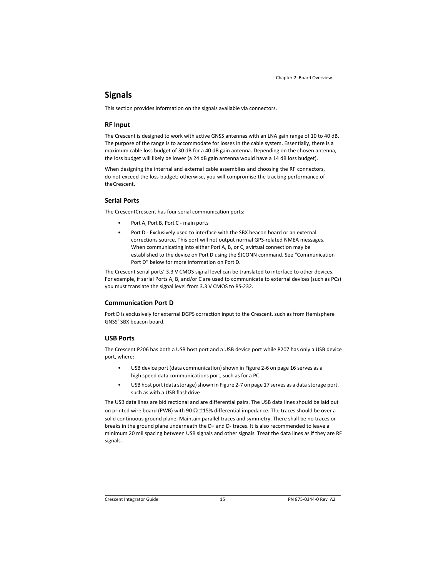### **Signals**

This section provides information on the signals available via connectors.

#### **RF Input**

The Crescent is designed to work with active GNSS antennas with an LNA gain range of 10 to 40 dB. The purpose of the range is to accommodate for losses in the cable system. Essentially, there is a maximum cable loss budget of 30 dB for a 40 dB gain antenna. Depending on the chosen antenna, the loss budget will likely be lower (a 24 dB gain antenna would have a 14 dB loss budget).

When designing the internal and external cable assemblies and choosing the RF connectors, do not exceed the loss budget; otherwise, you will compromise the tracking performance of the Crescent.

### **Serial Ports**

The CrescentCrescent has four serial communication ports:

- Port A, Port B, Port C ‐ main ports
- Port D Exclusively used to interface with the SBX beacon board or an external corrections source. This port will not output normal GPS‐related NMEA messages. When communicating into either Port A, B, or C, avirtual connection may be established to the device on Port D using the \$JCONN command. See "Communication Port D" below for more information on Port D.

The Crescent serial ports' 3.3 V CMOS signal level can be translated to interface to other devices. For example, if serial Ports A, B, and/or C are used to communicate to external devices (such as PCs) you must translate the signal level from 3.3 V CMOS to RS‐232.

#### **Communication Port D**

Port D is exclusively for external DGPS correction input to the Crescent, such as from Hemisphere GNSS' SBX beacon board.

#### **USB Ports**

The Crescent P206 has both a USB host port and a USB device port while P207 has only a USB device port, where:

- USB device port (data communication) shown in Figure 2-6 on page 16 serves as a high speed data communications port, such as for a PC
- USB host port (data storage) shown in Figure 2-7 on page 17 serves as a data storage port, such as with a USB flash drive

The USB data lines are bidirectional and are differential pairs. The USB data lines should be laid out on printed wire board (PWB) with 90  $\Omega$  ±15% differential impedance. The traces should be over a solid continuous ground plane. Maintain parallel traces and symmetry. There shall be no traces or breaks in the ground plane underneath the D+ and D‐ traces. It is also recommended to leave a minimum 20 mil spacing between USB signals and other signals. Treat the data lines as if they are RF signals.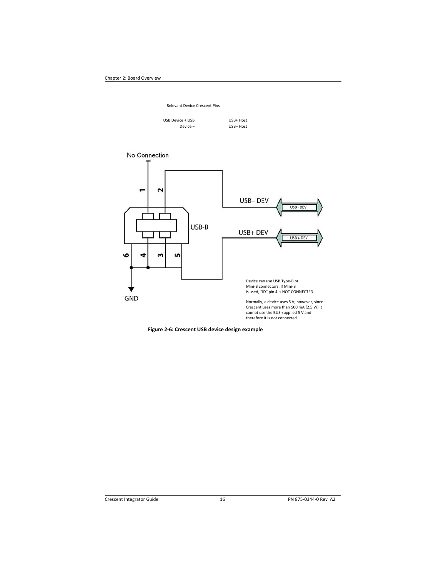#### Relevant Device Crescent Pins

| USB Device + USB |
|------------------|
| Device -         |

USB+ Host USB– Host



**Figure 2‐6: Crescent USB device design example**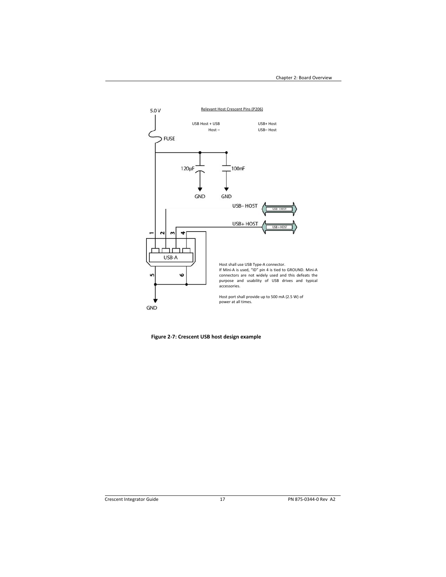

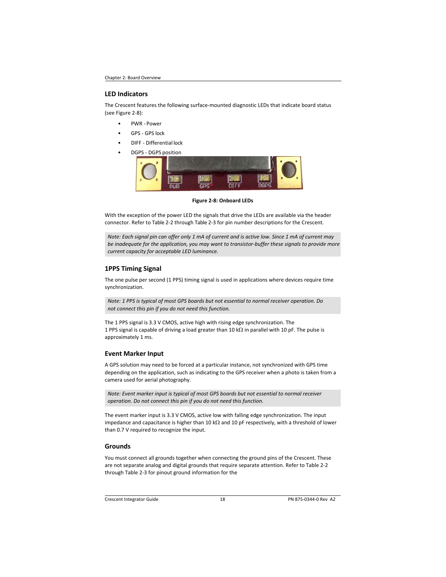#### **LED Indicators**

The Crescent features the following surface‐mounted diagnostic LEDs that indicate board status (see Figure 2‐8):

- PWR ‐ Power
- GPS ‐ GPS lock
- DIFF ‐ Differential lock
- DGPS DGPS position



#### **Figure 2‐8: Onboard LEDs**

With the exception of the power LED the signals that drive the LEDs are available via the header connector. Refer to Table 2‐2 through Table 2‐3 for pin number descriptions for the Crescent.

*Note: Each signal pin can offer only 1 mA of current and is active low. Since 1 mA of current may be inadequate for the application, you may want to transistor‐buffer these signals to provide more current capacity for acceptable LED luminance.* 

### **1PPS Timing Signal**

The one pulse per second (1 PPS) timing signal is used in applications where devices require time synchronization.

*Note: 1 PPS is typical of most GPS boards but not essential to normal receiver operation. Do not connect this pin if you do not need this function.* 

The 1 PPS signal is 3.3 V CMOS, active high with rising edge synchronization. The 1 PPS signal is capable of driving a load greater than 10 k $\Omega$  in parallel with 10 pF. The pulse is approximately 1 ms.

### **Event Marker Input**

A GPS solution may need to be forced at a particular instance, not synchronized with GPS time depending on the application, such as indicating to the GPS receiver when a photo is taken from a camera used for aerial photography.

*Note: Event marker input is typical of most GPS boards but not essential to normal receiver operation. Do not connect this pin if you do not need this function.* 

The event marker input is 3.3 V CMOS, active low with falling edge synchronization. The input impedance and capacitance is higher than 10 k $\Omega$  and 10 pF respectively, with a threshold of lower than 0.7 V required to recognize the input.

### **Grounds**

You must connect all grounds together when connecting the ground pins of the Crescent. These are not separate analog and digital grounds that require separate attention. Refer to Table 2‐2 through Table 2‐3 for pinout ground information for the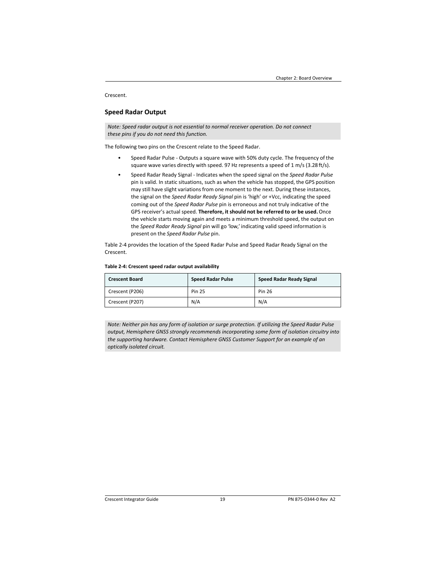#### Crescent.

### **Speed Radar Output**

*Note: Speed radar output is not essential to normal receiver operation. Do not connect these pins if you do not need this function.* 

The following two pins on the Crescent relate to the Speed Radar.

- Speed Radar Pulse ‐ Outputs a square wave with 50% duty cycle. The frequency of the square wave varies directly with speed. 97 Hz represents a speed of 1 m/s (3.28 ft/s).
- Speed Radar Ready Signal ‐ Indicates when the speed signal on the *Speed Radar Pulse*  pin is valid. In static situations, such as when the vehicle has stopped, the GPS position may still have slight variations from one moment to the next. During these instances, the signal on the *Speed Radar Ready Signal* pin is 'high' or +Vcc, indicating the speed coming out of the *Speed Radar Pulse* pin is erroneous and not truly indicative of the GPS receiver's actual speed. **Therefore, it should not be referred to or be used.** Once the vehicle starts moving again and meets a minimum threshold speed, the output on the *Speed Radar Ready Signal* pin will go 'low,' indicating valid speed information is present on the *Speed Radar Pulse* pin.

Table 2‐4 provides the location of the Speed Radar Pulse and Speed Radar Ready Signal on the Crescent.

#### **Table 2‐4: Crescent speed radar output availability**

| <b>Crescent Board</b> | <b>Speed Radar Pulse</b> | <b>Speed Radar Ready Signal</b> |
|-----------------------|--------------------------|---------------------------------|
| Crescent (P206)       | <b>Pin 25</b>            | Pin 26                          |
| Crescent (P207)       | N/A                      | N/A                             |

*Note: Neither pin has any form of isolation or surge protection. If utilizing the Speed Radar Pulse output, Hemisphere GNSS strongly recommends incorporating some form of isolation circuitry into the supporting hardware. Contact Hemisphere GNSS Customer Support for an example of an optically isolated circuit.*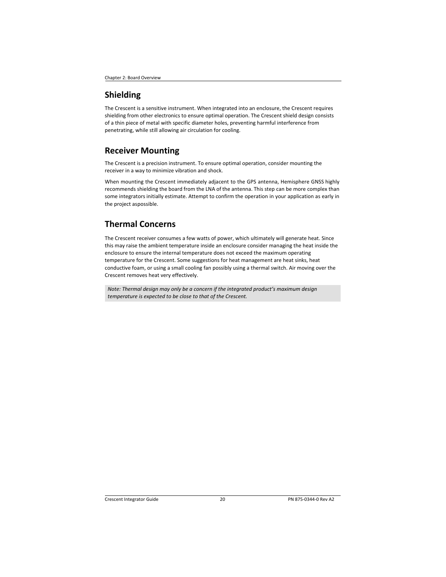### **Shielding**

The Crescent is a sensitive instrument. When integrated into an enclosure, the Crescent requires shielding from other electronics to ensure optimal operation. The Crescent shield design consists of a thin piece of metal with specific diameter holes, preventing harmful interference from penetrating, while still allowing air circulation for cooling.

### **Receiver Mounting**

The Crescent is a precision instrument. To ensure optimal operation, consider mounting the receiver in a way to minimize vibration and shock.

When mounting the Crescent immediately adjacent to the GPS antenna, Hemisphere GNSS highly recommends shielding the board from the LNA of the antenna. This step can be more complex than some integrators initially estimate. Attempt to confirm the operation in your application as early in the project aspossible.

# **Thermal Concerns**

The Crescent receiver consumes a few watts of power, which ultimately will generate heat. Since this may raise the ambient temperature inside an enclosure consider managing the heat inside the enclosure to ensure the internal temperature does not exceed the maximum operating temperature for the Crescent. Some suggestions for heat management are heat sinks, heat conductive foam, or using a small cooling fan possibly using a thermal switch. Air moving over the Crescent removes heat very effectively.

*Note: Thermal design may only be a concern if the integrated product's maximum design temperature is expected to be close to that of the Crescent.*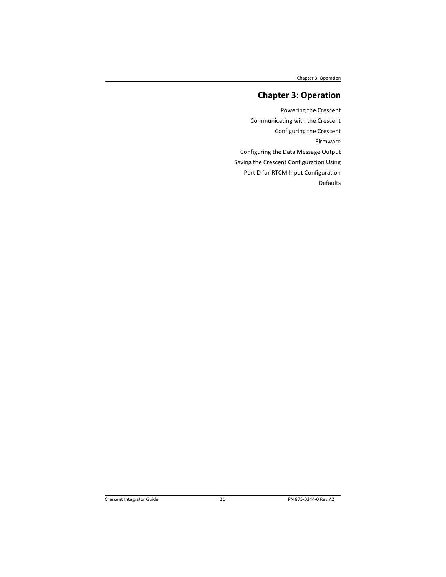Chapter 3: Operation

# **Chapter 3: Operation**

Powering the Crescent Communicating with the Crescent Configuring the Crescent Firmware Configuring the Data Message Output Saving the Crescent Configuration Using Port D for RTCM Input Configuration Defaults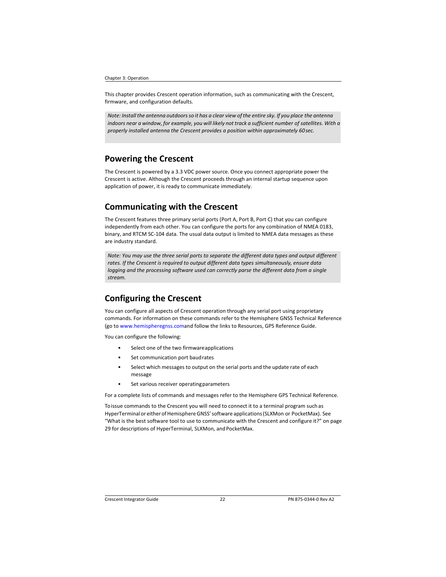#### Chapter 3: Operation

This chapter provides Crescent operation information, such as communicating with the Crescent, firmware, and configuration defaults.

*Note: Install the antenna outdoors so it has a clear view of the entire sky. If you place the antenna indoors near a window, for example, you will likely not track a sufficient number of satellites. With a properly installed antenna the Crescent provides a position within approximately 60 sec.* 

### **Powering the Crescent**

The Crescent is powered by a 3.3 VDC power source. Once you connect appropriate power the Crescent is active. Although the Crescent proceeds through an internal startup sequence upon application of power, it is ready to communicate immediately.

# **Communicating with the Crescent**

The Crescent features three primary serial ports (Port A, Port B, Port C) that you can configure independently from each other. You can configure the ports for any combination of NMEA 0183, binary, and RTCM SC‐104 data. The usual data output is limited to NMEA data messages as these are industry standard.

*Note: You may use the three serial ports to separate the different data types and output different rates. If the Crescent is required to output different data types simultaneously, ensure data logging and the processing software used can correctly parse the different data from a single stream.* 

# **Configuring the Crescent**

You can configure all aspects of Crescent operation through any serial port using proprietary commands. For information on these commands refer to the Hemisphere GNSS Technical Reference (go to www.hemispheregnss.comand follow the links to Resources, GPS Reference Guide.

You can configure the following:

- Select one of the two firmware applications
- Set communication port baud rates
- Select which messages to output on the serial ports and the update rate of each message
- Set various receiver operating parameters

For a complete lists of commands and messages refer to the Hemisphere GPS Technical Reference.

To issue commands to the Crescent you will need to connect it to a terminal program such as HyperTerminal or either of Hemisphere GNSS' software applications (SLXMon or PocketMax). See "What is the best software tool to use to communicate with the Crescent and configure it?" on page 29 for descriptions of HyperTerminal, SLXMon, and PocketMax.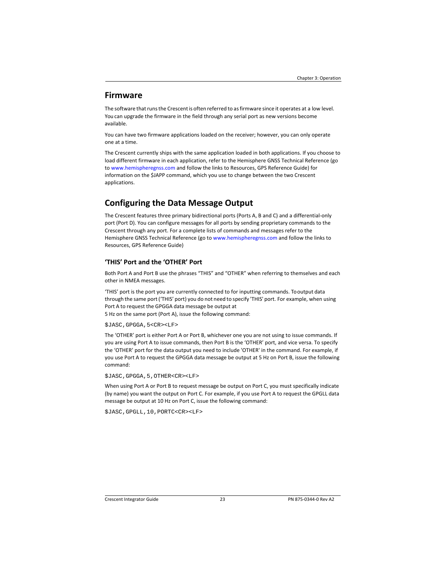### **Firmware**

The software that runs the Crescent is often referred to as firmware since it operates at a low level. You can upgrade the firmware in the field through any serial port as new versions become available.

You can have two firmware applications loaded on the receiver; however, you can only operate one at a time.

The Crescent currently ships with the same application loaded in both applications. If you choose to load different firmware in each application, refer to the Hemisphere GNSS Technical Reference (go to www.hemispheregnss.com and follow the links to Resources, GPS Reference Guide) for information on the \$JAPP command, which you use to change between the two Crescent applications.

# **Configuring the Data Message Output**

The Crescent features three primary bidirectional ports (Ports A, B and C) and a differential‐only port (Port D). You can configure messages for all ports by sending proprietary commands to the Crescent through any port. For a complete lists of commands and messages refer to the Hemisphere GNSS Technical Reference (go to www.hemispheregnss.com and follow the links to Resources, GPS Reference Guide)

### **'THIS' Port and the 'OTHER' Port**

Both Port A and Port B use the phrases "THIS" and "OTHER" when referring to themselves and each other in NMEA messages.

'THIS' port is the port you are currently connected to for inputting commands. To output data through the same port ('THIS' port) you do not need to specify 'THIS' port. For example, when using Port A to request the GPGGA data message be output at

5 Hz on the same port (Port A), issue the following command:

#### \$JASC,GPGGA,5<CR><LF>

The 'OTHER' port is either Port A or Port B, whichever one you are not using to issue commands. If you are using Port A to issue commands, then Port B is the 'OTHER' port, and vice versa. To specify the 'OTHER' port for the data output you need to include 'OTHER' in the command. For example, if you use Port A to request the GPGGA data message be output at 5 Hz on Port B, issue the following command:

\$JASC,GPGGA,5,OTHER<CR><LF>

When using Port A or Port B to request message be output on Port C, you must specifically indicate (by name) you want the output on Port C. For example, if you use Port A to request the GPGLL data message be output at 10 Hz on Port C, issue the following command:

\$JASC,GPGLL,10,PORTC<CR><LF>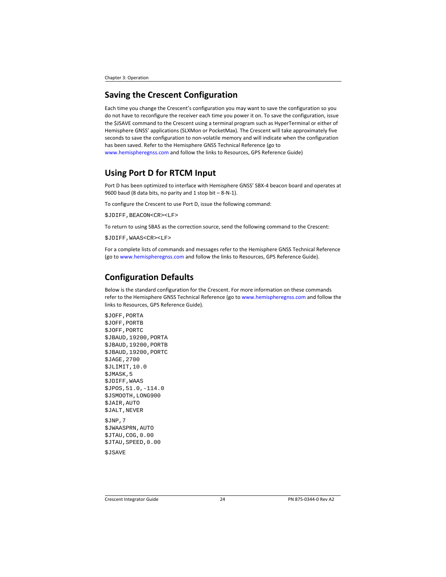Chapter 3: Operation

## **Saving the Crescent Configuration**

Each time you change the Crescent's configuration you may want to save the configuration so you do not have to reconfigure the receiver each time you power it on. To save the configuration, issue the \$JSAVE command to the Crescent using a terminal program such as HyperTerminal or either of Hemisphere GNSS' applications (SLXMon or PocketMax). The Crescent will take approximately five seconds to save the configuration to non‐volatile memory and will indicate when the configuration has been saved. Refer to the Hemisphere GNSS Technical Reference (go to www.hemispheregnss.com and follow the links to Resources, GPS Reference Guide)

# **Using Port D for RTCM Input**

Port D has been optimized to interface with Hemisphere GNSS' SBX‐4 beacon board and operates at 9600 baud (8 data bits, no parity and 1 stop bit – 8‐N‐1).

To configure the Crescent to use Port D, issue the following command:

\$JDIFF,BEACON<CR><LF>

To return to using SBAS as the correction source, send the following command to the Crescent:

\$JDIFF,WAAS<CR><LF>

For a complete lists of commands and messages refer to the Hemisphere GNSS Technical Reference (go to www.hemispheregnss.com and follow the links to Resources, GPS Reference Guide).

## **Configuration Defaults**

Below is the standard configuration for the Crescent. For more information on these commands refer to the Hemisphere GNSS Technical Reference (go to www.hemispheregnss.com and follow the links to Resources, GPS Reference Guide).

\$JOFF,PORTA \$JOFF,PORTB \$JOFF,PORTC \$JBAUD,19200,PORTA \$JBAUD,19200,PORTB \$JBAUD,19200,PORTC \$JAGE,2700 \$JLIMIT,10.0 \$JMASK,5 \$JDIFF,WAAS \$JPOS,51.0,-114.0 \$JSMOOTH,LONG900 \$JAIR,AUTO \$JALT,NEVER \$JNP,7 \$JWAASPRN,AUTO \$JTAU,COG,0.00 \$JTAU,SPEED,0.00

\$JSAVE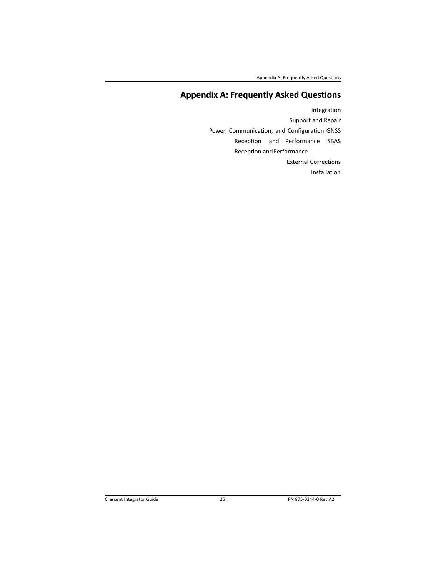Appendix A: Frequently Asked Questions

# **Appendix A: Frequently Asked Questions**

Integration Support and Repair Power, Communication, and Configuration GNSS Reception and Performance SBAS Reception and Performance External Corrections Installation

Crescent Integrator Guide 25 PN 875‐0344‐0 Rev A2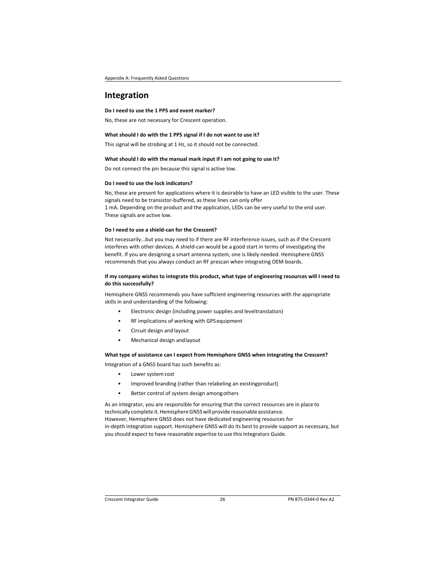## **Integration**

#### **Do I need to use the 1 PPS and event marker?**

No, these are not necessary for Crescent operation.

#### **What should I do with the 1 PPS signal if I do not want to use it?**

This signal will be strobing at 1 Hz, so it should not be connected.

#### **What should I do with the manual mark input if I am not going to use it?**

Do not connect the pin because this signal is active low.

### **Do I need to use the lock indicators?**

No, these are present for applications where it is desirable to have an LED visible to the user. These signals need to be transistor-buffered, as these lines can only offer 1 mA. Depending on the product and the application, LEDs can be very useful to the end user. These signals are active low.

#### **Do I need to use a shield‐can for the Crescent?**

Not necessarily...but you may need to if there are RF interference issues, such as if the Crescent interferes with other devices. A shield-can would be a good start in terms of investigating the benefit. If you are designing a smart antenna system, one is likely needed. Hemisphere GNSS recommends that you always conduct an RF prescan when integrating OEM boards.

#### **If my company wishes to integrate this product, what type of engineering resources will I need to do this successfully?**

Hemisphere GNSS recommends you have sufficient engineering resources with the appropriate skills in and understanding of the following:

- Electronic design (including power supplies and leveltranslation)
- RF implications of working with GPS equipment
- Circuit design and layout
- Mechanical design and layout

#### **What type of assistance can I expect from Hemisphere GNSS when integrating the Crescent?**

Integration of a GNSS board has such benefits as:

- Lower system cost
- Improved branding (rather than relabeling an existing product)
- Better control of system design among others

As an integrator, you are responsible for ensuring that the correct resources are in place to technically complete it. Hemisphere GNSS will provide reasonable assistance. However, Hemisphere GNSS does not have dedicated engineering resources for in-depth integration support. Hemisphere GNSS will do its best to provide support as necessary, but you should expect to have reasonable expertise to use this Integrators Guide.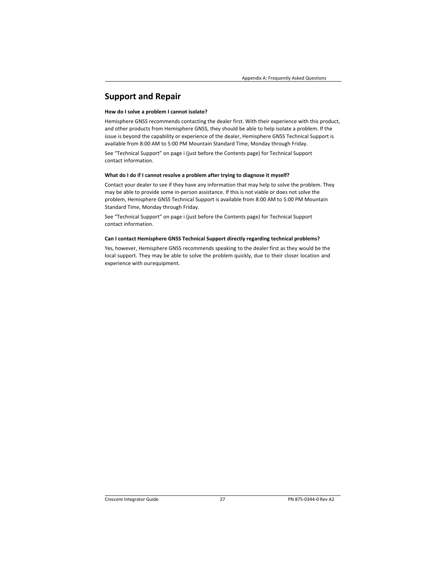# **Support and Repair**

#### **How do I solve a problem I cannot isolate?**

Hemisphere GNSS recommends contacting the dealer first. With their experience with this product, and other products from Hemisphere GNSS, they should be able to help isolate a problem. If the issue is beyond the capability or experience of the dealer, Hemisphere GNSS Technical Support is available from 8:00 AM to 5:00 PM Mountain Standard Time, Monday through Friday.

See "Technical Support" on page i (just before the Contents page) for Technical Support contact information.

#### **What do I do if I cannot resolve a problem after trying to diagnose it myself?**

Contact your dealer to see if they have any information that may help to solve the problem. They may be able to provide some in‐person assistance. If this is not viable or does not solve the problem, Hemisphere GNSS Technical Support is available from 8:00 AM to 5:00 PM Mountain Standard Time, Monday through Friday.

See "Technical Support" on page i (just before the Contents page) for Technical Support contact information.

#### **Can I contact Hemisphere GNSS Technical Support directly regarding technical problems?**

Yes, however, Hemisphere GNSS recommends speaking to the dealer first as they would be the local support. They may be able to solve the problem quickly, due to their closer location and experience with our equipment.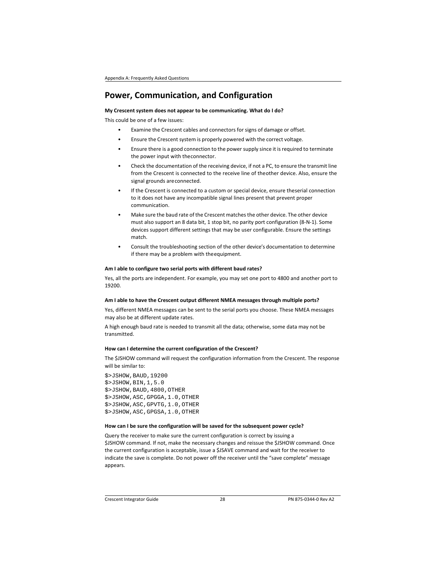## **Power, Communication, and Configuration**

**My Crescent system does not appear to be communicating. What do I do?** 

This could be one of a few issues:

- Examine the Crescent cables and connectors for signs of damage or offset.
- Ensure the Crescent system is properly powered with the correct voltage.
- Ensure there is a good connection to the power supply since it is required to terminate the power input with the connector.
- Check the documentation of the receiving device, if not a PC, to ensure the transmit line from the Crescent is connected to the receive line of theother device. Also, ensure the signal grounds are connected.
- If the Crescent is connected to a custom or special device, ensure theserial connection to it does not have any incompatible signal lines present that prevent proper communication.
- Make sure the baud rate of the Crescent matches the other device. The other device must also support an 8 data bit, 1 stop bit, no parity port configuration (8‐N‐1). Some devices support different settings that may be user configurable. Ensure the settings match.
- Consult the troubleshooting section of the other device's documentation to determine if there may be a problem with the equipment.

#### **Am I able to configure two serial ports with different baud rates?**

Yes, all the ports are independent. For example, you may set one port to 4800 and another port to 19200.

### **Am I able to have the Crescent output different NMEA messages through multiple ports?**

Yes, different NMEA messages can be sent to the serial ports you choose. These NMEA messages may also be at different update rates.

A high enough baud rate is needed to transmit all the data; otherwise, some data may not be transmitted.

#### **How can I determine the current configuration of the Crescent?**

The \$JSHOW command will request the configuration information from the Crescent. The response will be similar to:

\$>JSHOW,BAUD,19200 \$>JSHOW,BIN,1,5.0 \$>JSHOW,BAUD,4800,OTHER \$>JSHOW,ASC,GPGGA,1.0,OTHER \$>JSHOW,ASC,GPVTG,1.0,OTHER \$>JSHOW,ASC,GPGSA,1.0,OTHER

#### **How can I be sure the configuration will be saved for the subsequent power cycle?**

Query the receiver to make sure the current configuration is correct by issuing a \$JSHOW command. If not, make the necessary changes and reissue the \$JSHOW command. Once the current configuration is acceptable, issue a \$JSAVE command and wait for the receiver to indicate the save is complete. Do not power off the receiver until the "save complete" message appears.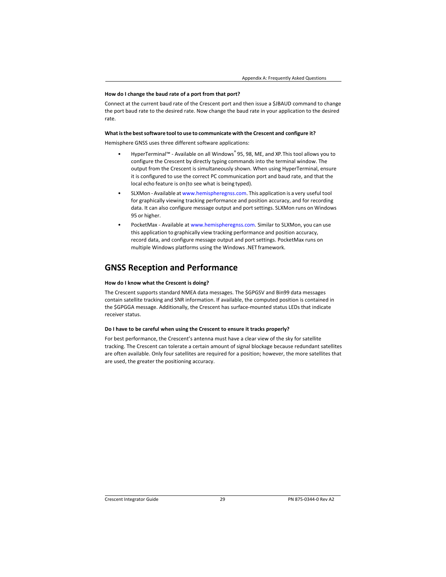#### **How do I change the baud rate of a port from that port?**

Connect at the current baud rate of the Crescent port and then issue a \$JBAUD command to change the port baud rate to the desired rate. Now change the baud rate in your application to the desired rate.

#### **What is the best software tool to use to communicate with the Crescent and configure it?**

Hemisphere GNSS uses three different software applications:

- HyperTerminal™ ‐ Available on all Windows® 95, 98, ME, and XP. This tool allows you to configure the Crescent by directly typing commands into the terminal window. The output from the Crescent is simultaneously shown. When using HyperTerminal, ensure it is configured to use the correct PC communication port and baud rate, and that the local echo feature is on (to see what is being typed).
- SLXMon ‐ Available at www.hemispheregnss.com. This application is a very useful tool for graphically viewing tracking performance and position accuracy, and for recording data. It can also configure message output and port settings. SLXMon runs on Windows 95 or higher.
- PocketMax ‐ Available at www.hemispheregnss.com. Similar to SLXMon, you can use this application to graphically view tracking performance and position accuracy, record data, and configure message output and port settings. PocketMax runs on multiple Windows platforms using the Windows .NET framework.

### **GNSS Reception and Performance**

#### **How do I know what the Crescent is doing?**

The Crescent supports standard NMEA data messages. The \$GPGSV and Bin99 data messages contain satellite tracking and SNR information. If available, the computed position is contained in the \$GPGGA message. Additionally, the Crescent has surface‐mounted status LEDs that indicate receiver status.

#### **Do I have to be careful when using the Crescent to ensure it tracks properly?**

For best performance, the Crescent's antenna must have a clear view of the sky for satellite tracking. The Crescent can tolerate a certain amount of signal blockage because redundant satellites are often available. Only four satellites are required for a position; however, the more satellites that are used, the greater the positioning accuracy.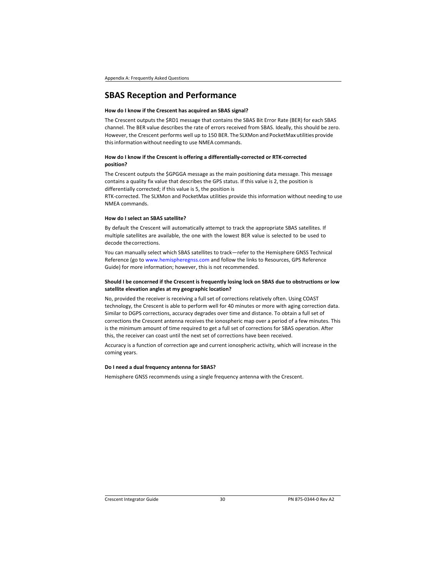## **SBAS Reception and Performance**

#### **How do I know if the Crescent has acquired an SBAS signal?**

The Crescent outputs the \$RD1 message that contains the SBAS Bit Error Rate (BER) for each SBAS channel. The BER value describes the rate of errors received from SBAS. Ideally, this should be zero. However, the Crescent performs well up to 150 BER. The SLXMon and PocketMax utilities provide this information without needing to use NMEA commands.

#### **How do I know if the Crescent is offering a differentially‐corrected or RTK‐corrected position?**

The Crescent outputs the \$GPGGA message as the main positioning data message. This message contains a quality fix value that describes the GPS status. If this value is 2, the position is differentially corrected; if this value is 5, the position is

RTK‐corrected. The SLXMon and PocketMax utilities provide this information without needing to use NMEA commands.

#### **How do I select an SBAS satellite?**

By default the Crescent will automatically attempt to track the appropriate SBAS satellites. If multiple satellites are available, the one with the lowest BER value is selected to be used to decode the corrections.

You can manually select which SBAS satellites to track—refer to the Hemisphere GNSS Technical Reference (go to www.hemispheregnss.com and follow the links to Resources, GPS Reference Guide) for more information; however, this is not recommended.

#### **Should I be concerned if the Crescent is frequently losing lock on SBAS due to obstructions or low satellite elevation angles at my geographic location?**

No, provided the receiver is receiving a full set of corrections relatively often. Using COAST technology, the Crescent is able to perform well for 40 minutes or more with aging correction data. Similar to DGPS corrections, accuracy degrades over time and distance. To obtain a full set of corrections the Crescent antenna receives the ionospheric map over a period of a few minutes. This is the minimum amount of time required to get a full set of corrections for SBAS operation. After this, the receiver can coast until the next set of corrections have been received.

Accuracy is a function of correction age and current ionospheric activity, which will increase in the coming years.

#### **Do I need a dual frequency antenna for SBAS?**

Hemisphere GNSS recommends using a single frequency antenna with the Crescent.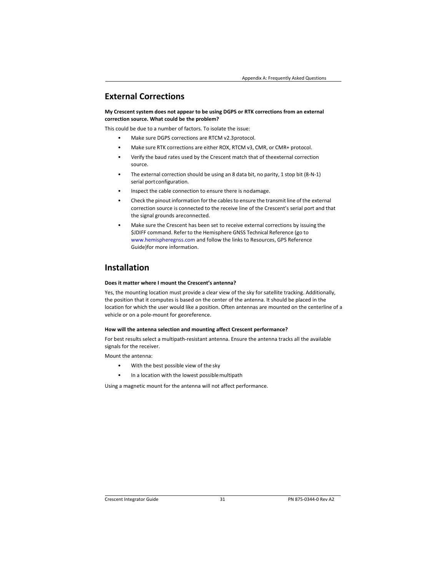# **External Corrections**

**My Crescent system does not appear to be using DGPS or RTK corrections from an external correction source. What could be the problem?** 

This could be due to a number of factors. To isolate the issue:

- Make sure DGPS corrections are RTCM v2.3 protocol.
- Make sure RTK corrections are either ROX, RTCM v3, CMR, or CMR+ protocol.
- Verify the baud rates used by the Crescent match that of the external correction source.
- The external correction should be using an 8 data bit, no parity, 1 stop bit (8‐N‐1) serial port configuration.
- Inspect the cable connection to ensure there is no damage.
- Check the pinout information for the cables to ensure the transmit line of the external correction source is connected to the receive line of the Crescent's serial port and that the signal grounds are connected.
- Make sure the Crescent has been set to receive external corrections by issuing the \$JDIFF command. Refer to the Hemisphere GNSS Technical Reference (go to www.hemispheregnss.com and follow the links to Resources, GPS Reference Guide) for more information.

# **Installation**

#### **Does it matter where I mount the Crescent's antenna?**

Yes, the mounting location must provide a clear view of the sky for satellite tracking. Additionally, the position that it computes is based on the center of the antenna. It should be placed in the location for which the user would like a position. Often antennas are mounted on the centerline of a vehicle or on a pole‐mount for georeference.

#### **How will the antenna selection and mounting affect Crescent performance?**

For best results select a multipath‐resistant antenna. Ensure the antenna tracks all the available signals for the receiver.

Mount the antenna:

- With the best possible view of the sky
- In a location with the lowest possible multipath

Using a magnetic mount for the antenna will not affect performance.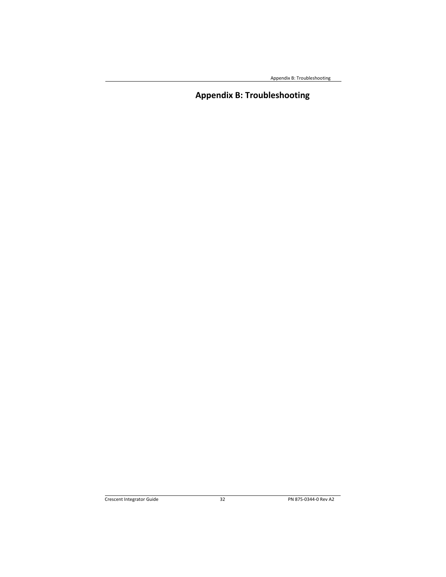Appendix B: Troubleshooting

# **Appendix B: Troubleshooting**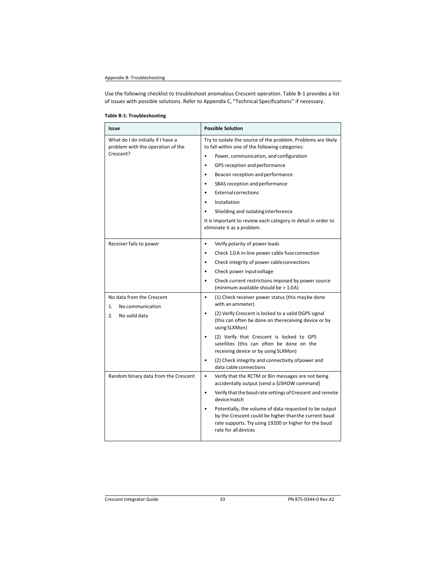### Appendix B: Troubleshooting

Use the following checklist to troubleshoot anomalous Crescent operation. Table B‐1 provides a list of issues with possible solutions. Refer to Appendix C, "Technical Specifications" if necessary.

### **Table B‐1: Troubleshooting**

| Issue                                                                   | <b>Possible Solution</b>                                                                                                                                                                                      |
|-------------------------------------------------------------------------|---------------------------------------------------------------------------------------------------------------------------------------------------------------------------------------------------------------|
| What do I do initially if I have a<br>problem with the operation of the | Try to isolate the source of the problem. Problems are likely<br>to fall within one of the following categories:                                                                                              |
| Crescent?                                                               | Power, communication, and configuration<br>$\bullet$                                                                                                                                                          |
|                                                                         | GPS reception and performance<br>$\bullet$                                                                                                                                                                    |
|                                                                         | Beacon reception and performance<br>$\bullet$                                                                                                                                                                 |
|                                                                         | SBAS reception and performance<br>٠                                                                                                                                                                           |
|                                                                         | <b>External corrections</b><br>$\bullet$                                                                                                                                                                      |
|                                                                         | Installation                                                                                                                                                                                                  |
|                                                                         | Shielding and isolating interference                                                                                                                                                                          |
|                                                                         | It is important to review each category in detail in order to<br>eliminate it as a problem.                                                                                                                   |
| Receiver fails to power                                                 | $\bullet$<br>Verify polarity of power leads                                                                                                                                                                   |
|                                                                         | Check 1.0 A in-line power cable fuse connection<br>$\bullet$                                                                                                                                                  |
|                                                                         | Check integrity of power cableconnections<br>$\bullet$                                                                                                                                                        |
|                                                                         | Check power input voltage                                                                                                                                                                                     |
|                                                                         | Check current restrictions imposed by power source<br>(minimum available should be > 1.0A)                                                                                                                    |
| No data from the Crescent<br>1.<br>No communication                     | (1) Check receiver power status (this maybe done<br>$\bullet$<br>with an ammeter)                                                                                                                             |
| No valid data<br>2.                                                     | (2) Verify Crescent is locked to a valid DGPS signal<br>(this can often be done on the receiving device or by<br>using SLXMon)                                                                                |
|                                                                         | (2) Verify that Crescent is locked to GPS<br>$\bullet$<br>satellites (this can often be done on the<br>receiving device or by using SLXMon)                                                                   |
|                                                                         | (2) Check integrity and connectivity of power and<br>data cable connections                                                                                                                                   |
| Random binary data from the Crescent                                    | $\bullet$<br>Verify that the RCTM or Bin messages are not being<br>accidentally output (send a \$JSHOW command)                                                                                               |
|                                                                         | Verify that the baud rate settings of Crescent and remote<br>$\bullet$<br>device match                                                                                                                        |
|                                                                         | Potentially, the volume of data requested to be output<br>$\bullet$<br>by the Crescent could be higher than the current baud<br>rate supports. Try using 19200 or higher for the baud<br>rate for all devices |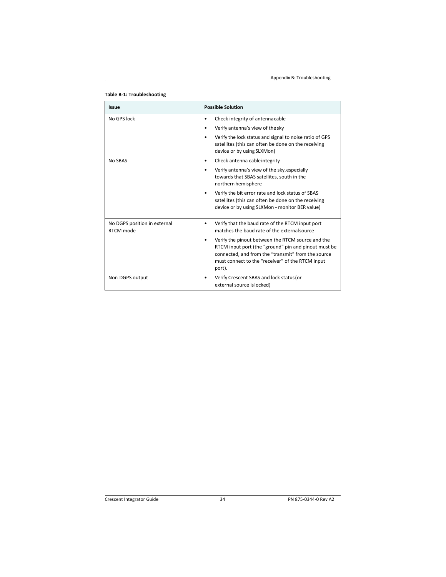Appendix B: Troubleshooting

| Issue                                     | <b>Possible Solution</b>                                                                                                                                                                                                      |
|-------------------------------------------|-------------------------------------------------------------------------------------------------------------------------------------------------------------------------------------------------------------------------------|
| No GPS lock                               | Check integrity of antennacable<br>٠                                                                                                                                                                                          |
|                                           | Verify antenna's view of the sky                                                                                                                                                                                              |
|                                           | Verify the lock status and signal to noise ratio of GPS<br>satellites (this can often be done on the receiving<br>device or by using SLXMon)                                                                                  |
| No SBAS                                   | Check antenna cable integrity                                                                                                                                                                                                 |
|                                           | Verify antenna's view of the sky, especially<br>towards that SBAS satellites, south in the<br>northern hemisphere                                                                                                             |
|                                           | Verify the bit error rate and lock status of SBAS<br>satellites (this can often be done on the receiving<br>device or by using SLXMon - monitor BER value)                                                                    |
| No DGPS position in external<br>RTCM mode | Verify that the baud rate of the RTCM input port<br>matches the baud rate of the external source                                                                                                                              |
|                                           | Verify the pinout between the RTCM source and the<br>RTCM input port (the "ground" pin and pinout must be<br>connected, and from the "transmit" from the source<br>must connect to the "receiver" of the RTCM input<br>port). |
| Non-DGPS output                           | Verify Crescent SBAS and lock status (or<br>external source is locked)                                                                                                                                                        |

**Table B‐1: Troubleshooting**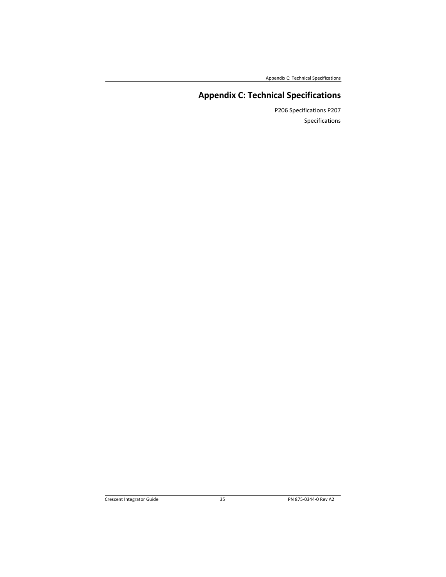Appendix C: Technical Specifications

# **Appendix C: Technical Specifications**

P206 Specifications P207 Specifications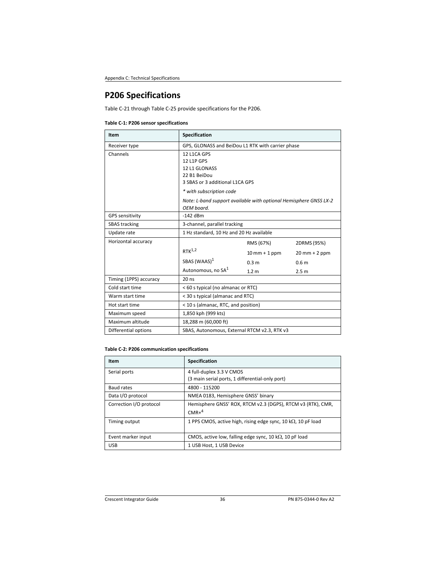# **P206 Specifications**

Table C‐21 through Table C‐25 provide specifications for the P206.

### **Table C‐1: P206 sensor specifications**

| Item                   | Specification                                                                   |                  |                  |
|------------------------|---------------------------------------------------------------------------------|------------------|------------------|
| Receiver type          | GPS, GLONASS and BeiDou L1 RTK with carrier phase                               |                  |                  |
| Channels               | 12 L1CA GPS                                                                     |                  |                  |
|                        | 12 L1P GPS                                                                      |                  |                  |
|                        | 12 L1 GLONASS                                                                   |                  |                  |
|                        | 22 B1 BeiDou                                                                    |                  |                  |
|                        | 3 SBAS or 3 additional L1CA GPS                                                 |                  |                  |
|                        | * with subscription code                                                        |                  |                  |
|                        | Note: L-band support available with optional Hemisphere GNSS LX-2<br>OEM board. |                  |                  |
| <b>GPS sensitivity</b> | $-142$ dBm                                                                      |                  |                  |
| <b>SBAS</b> tracking   | 3-channel, parallel tracking                                                    |                  |                  |
| Update rate            | 1 Hz standard, 10 Hz and 20 Hz available                                        |                  |                  |
| Horizontal accuracy    |                                                                                 | RMS (67%)        | 2DRMS (95%)      |
|                        | $RTK^{1,2}$                                                                     | $10$ mm + 1 ppm  | $20$ mm + 2 ppm  |
|                        | SBAS (WAAS) <sup>1</sup>                                                        | 0.3 <sub>m</sub> | 0.6 <sub>m</sub> |
|                        | Autonomous, no SA <sup>1</sup>                                                  | 1.2 <sub>m</sub> | 2.5 <sub>m</sub> |
| Timing (1PPS) accuracy | $20$ ns                                                                         |                  |                  |
| Cold start time        | < 60 s typical (no almanac or RTC)                                              |                  |                  |
| Warm start time        | < 30 s typical (almanac and RTC)                                                |                  |                  |
| Hot start time         | < 10 s (almanac, RTC, and position)                                             |                  |                  |
| Maximum speed          | 1,850 kph (999 kts)                                                             |                  |                  |
| Maximum altitude       | 18,288 m (60,000 ft)                                                            |                  |                  |
| Differential options   | SBAS, Autonomous, External RTCM v2.3, RTK v3                                    |                  |                  |

### **Table C‐2: P206 communication specifications**

| <b>Item</b>             | Specification                                                               |
|-------------------------|-----------------------------------------------------------------------------|
| Serial ports            | 4 full-duplex 3.3 V CMOS<br>(3 main serial ports, 1 differential-only port) |
| Baud rates              | 4800 - 115200                                                               |
| Data I/O protocol       | NMEA 0183, Hemisphere GNSS' binary                                          |
| Correction I/O protocol | Hemisphere GNSS' ROX, RTCM v2.3 (DGPS), RTCM v3 (RTK), CMR,<br>$CMR+4$      |
| Timing output           | 1 PPS CMOS, active high, rising edge sync, 10 k $\Omega$ , 10 pF load       |
| Event marker input      | CMOS, active low, falling edge sync, 10 k $\Omega$ , 10 pF load             |
| <b>USB</b>              | 1 USB Host, 1 USB Device                                                    |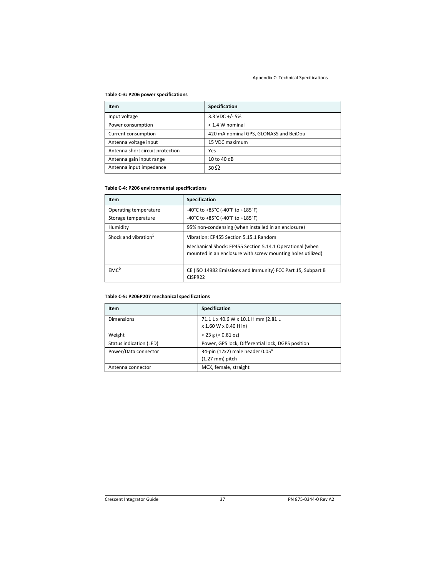### **Table C‐3: P206 power specifications**

| <b>Item</b>                      | Specification                          |
|----------------------------------|----------------------------------------|
| Input voltage                    | $3.3$ VDC +/- 5%                       |
| Power consumption                | $<$ 1.4 W nominal                      |
| Current consumption              | 420 mA nominal GPS, GLONASS and BeiDou |
| Antenna voltage input            | 15 VDC maximum                         |
| Antenna short circuit protection | Yes                                    |
| Antenna gain input range         | 10 to 40 dB                            |
| Antenna input impedance          | 50 $\Omega$                            |

### **Table C‐4: P206 environmental specifications**

| Item                             | <b>Specification</b>                                                                                                    |
|----------------------------------|-------------------------------------------------------------------------------------------------------------------------|
| Operating temperature            | -40°C to +85°C (-40°F to +185°F)                                                                                        |
| Storage temperature              | -40°C to +85°C (-40°F to +185°F)                                                                                        |
| Humidity                         | 95% non-condensing (when installed in an enclosure)                                                                     |
| Shock and vibration <sup>5</sup> | Vibration: EP455 Section 5.15.1 Random                                                                                  |
|                                  | Mechanical Shock: EP455 Section 5.14.1 Operational (when<br>mounted in an enclosure with screw mounting holes utilized) |
| EMC <sup>5</sup>                 | CE (ISO 14982 Emissions and Immunity) FCC Part 15, Subpart B<br>CISPR22                                                 |

### **Table C‐5: P206P207 mechanical specifications**

| Item                    | Specification                                     |
|-------------------------|---------------------------------------------------|
| <b>Dimensions</b>       | 71.1 L x 40.6 W x 10.1 H mm (2.81 L               |
|                         | x 1.60 W x 0.40 H in)                             |
| Weight                  | $< 23$ g ( $< 0.81$ oz)                           |
| Status indication (LED) | Power, GPS lock, Differential lock, DGPS position |
| Power/Data connector    | 34-pin (17x2) male header 0.05"                   |
|                         | $(1.27 \text{ mm})$ pitch                         |
| Antenna connector       | MCX, female, straight                             |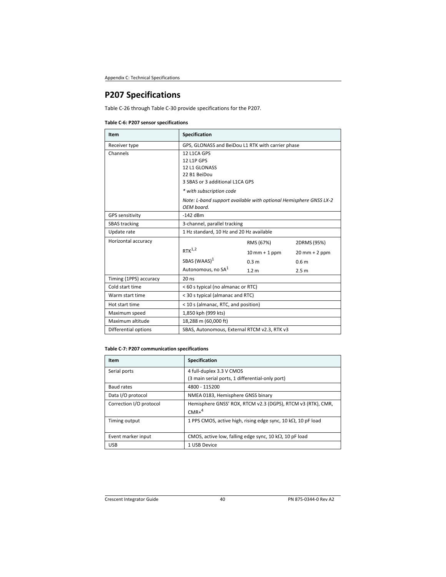# **P207 Specifications**

Table C‐26 through Table C‐30 provide specifications for the P207.

### **Table C‐6: P207 sensor specifications**

| Item                   | Specification                                                                                 |                                 |                                              |  |
|------------------------|-----------------------------------------------------------------------------------------------|---------------------------------|----------------------------------------------|--|
| Receiver type          | GPS, GLONASS and BeiDou L1 RTK with carrier phase                                             |                                 |                                              |  |
| Channels               | 12 L1CA GPS<br>12 L1P GPS<br>12 L1 GLONASS<br>22 B1 BeiDou<br>3 SBAS or 3 additional L1CA GPS |                                 |                                              |  |
|                        | * with subscription code                                                                      |                                 |                                              |  |
|                        | Note: L-band support available with optional Hemisphere GNSS LX-2<br>OEM board.               |                                 |                                              |  |
| <b>GPS sensitivity</b> | $-142$ dBm                                                                                    |                                 |                                              |  |
| <b>SBAS</b> tracking   | 3-channel, parallel tracking                                                                  |                                 |                                              |  |
| Update rate            | 1 Hz standard, 10 Hz and 20 Hz available                                                      |                                 |                                              |  |
| Horizontal accuracy    |                                                                                               | RMS (67%)                       | 2DRMS (95%)                                  |  |
|                        | $RTK^{1,2}$                                                                                   | $10 \text{ mm} + 1 \text{ ppm}$ | $20$ mm + 2 ppm                              |  |
|                        | SBAS (WAAS) <sup>1</sup>                                                                      | 0.3 <sub>m</sub>                | 0.6 <sub>m</sub>                             |  |
|                        | Autonomous, no SA <sup>1</sup>                                                                | 1.2 <sub>m</sub>                | 2.5 <sub>m</sub>                             |  |
| Timing (1PPS) accuracy | $20$ ns                                                                                       |                                 |                                              |  |
| Cold start time        | < 60 s typical (no almanac or RTC)                                                            |                                 |                                              |  |
| Warm start time        | < 30 s typical (almanac and RTC)                                                              |                                 |                                              |  |
| Hot start time         | < 10 s (almanac, RTC, and position)                                                           |                                 |                                              |  |
| Maximum speed          | 1,850 kph (999 kts)                                                                           |                                 |                                              |  |
| Maximum altitude       | 18,288 m (60,000 ft)                                                                          |                                 |                                              |  |
| Differential options   |                                                                                               |                                 | SBAS, Autonomous, External RTCM v2.3, RTK v3 |  |

### **Table C‐7: P207 communication specifications**

| Item                    | Specification                                                         |
|-------------------------|-----------------------------------------------------------------------|
| Serial ports            | 4 full-duplex 3.3 V CMOS                                              |
|                         | (3 main serial ports, 1 differential-only port)                       |
| Baud rates              | 4800 - 115200                                                         |
| Data I/O protocol       | NMEA 0183, Hemisphere GNSS binary                                     |
| Correction I/O protocol | Hemisphere GNSS' ROX, RTCM v2.3 (DGPS), RTCM v3 (RTK), CMR,           |
|                         | $CMR+4$                                                               |
| Timing output           | 1 PPS CMOS, active high, rising edge sync, 10 k $\Omega$ , 10 pF load |
| Event marker input      | CMOS, active low, falling edge sync, 10 k $\Omega$ , 10 pF load       |
| <b>USB</b>              | 1 USB Device                                                          |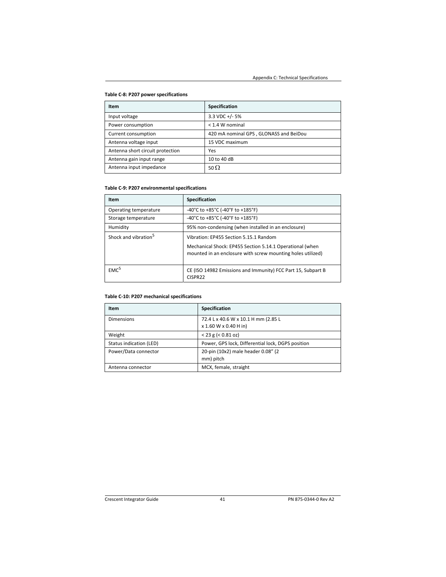### **Table C‐8: P207 power specifications**

| <b>Item</b>                      | Specification                          |
|----------------------------------|----------------------------------------|
| Input voltage                    | $3.3$ VDC +/- 5%                       |
| Power consumption                | $<$ 1.4 W nominal                      |
| Current consumption              | 420 mA nominal GPS, GLONASS and BeiDou |
| Antenna voltage input            | 15 VDC maximum                         |
| Antenna short circuit protection | Yes                                    |
| Antenna gain input range         | 10 to 40 dB                            |
| Antenna input impedance          | 50 $\Omega$                            |

### **Table C‐9: P207 environmental specifications**

| Item                             | Specification                                                                                      |
|----------------------------------|----------------------------------------------------------------------------------------------------|
| Operating temperature            | -40°C to +85°C (-40°F to +185°F)                                                                   |
| Storage temperature              | -40°C to +85°C (-40°F to +185°F)                                                                   |
| Humidity                         | 95% non-condensing (when installed in an enclosure)                                                |
| Shock and vibration <sup>5</sup> | Vibration: EP455 Section 5.15.1 Random<br>Mechanical Shock: EP455 Section 5.14.1 Operational (when |
|                                  | mounted in an enclosure with screw mounting holes utilized)                                        |
| EMC <sup>5</sup>                 | CE (ISO 14982 Emissions and Immunity) FCC Part 15, Subpart B<br>CISPR22                            |

### **Table C‐10: P207 mechanical specifications**

| <b>Item</b>             | Specification                                     |
|-------------------------|---------------------------------------------------|
| <b>Dimensions</b>       | 72.4 L x 40.6 W x 10.1 H mm (2.85 L               |
|                         | x 1.60 W x 0.40 H in)                             |
| Weight                  | $< 23$ g ( $< 0.81$ oz)                           |
| Status indication (LED) | Power, GPS lock, Differential lock, DGPS position |
| Power/Data connector    | 20-pin (10x2) male header 0.08" (2                |
|                         | mm) pitch                                         |
| Antenna connector       | MCX, female, straight                             |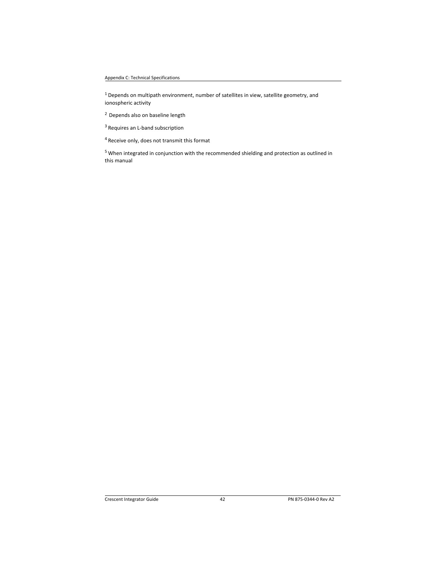$1$  Depends on multipath environment, number of satellites in view, satellite geometry, and ionospheric activity

2 Depends also on baseline length

3 Requires an L‐band subscription

4 Receive only, does not transmit this format

5 When integrated in conjunction with the recommended shielding and protection as outlined in this manual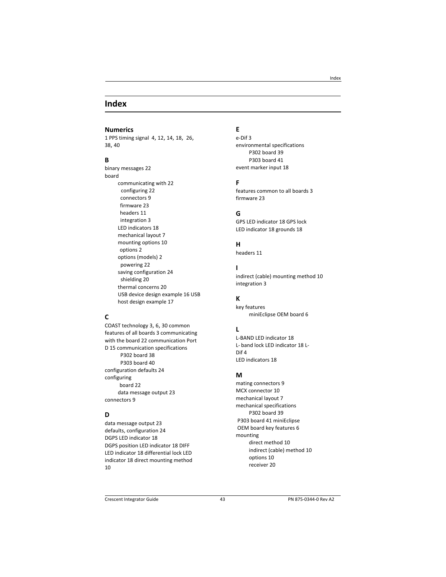### **Index**

#### **Numerics**

1 PPS timing signal 4, 12, 14, 18, 26, 38, 40

### **B**

binary messages 22 board communicating with 22 configuring 22 connectors 9 firmware 23 headers 11 integration 3 LED indicators 18 mechanical layout 7 mounting options 10 options 2 options (models) 2 powering 22 saving configuration 24 shielding 20 thermal concerns 20 USB device design example 16 USB host design example 17

### **C**

COAST technology 3, 6, 30 common features of all boards 3 communicating with the board 22 communication Port D 15 communication specifications P302 board 38 P303 board 40 configuration defaults 24 configuring board 22 data message output 23 connectors 9

### **D**

data message output 23 defaults, configuration 24 DGPS LED indicator 18 DGPS position LED indicator 18 DIFF LED indicator 18 differential lock LED indicator 18 direct mounting method 10

# **E**

e‐Dif 3 environmental specifications P302 board 39 P303 board 41 event marker input 18

### **F**

features common to all boards 3 firmware 23

### **G**

GPS LED indicator 18 GPS lock LED indicator 18 grounds 18

### **H**

headers 11

### **I**

indirect (cable) mounting method 10 integration 3

### **K**

key features miniEclipse OEM board 6

#### **L**

L‐BAND LED indicator 18 L‐ band lock LED indicator 18 L‐ Dif 4 LED indicators 18

### **M**

mating connectors 9 MCX connector 10 mechanical layout 7 mechanical specifications P302 board 39 P303 board 41 miniEclipse OEM board key features 6 mounting direct method 10 indirect (cable) method 10 options 10 receiver 20

#### Index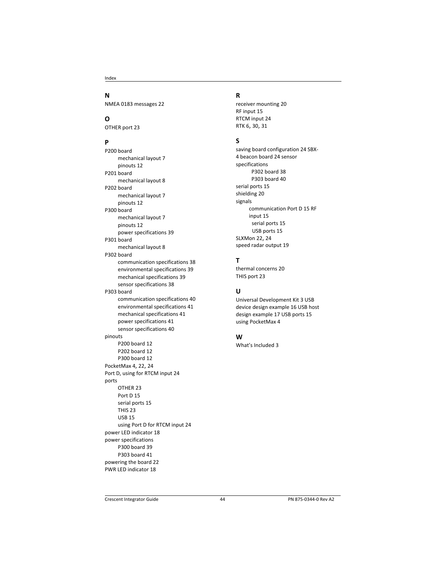Index

### **N**

NMEA 0183 messages 22

# **O**

OTHER port 23

## **P**

P200 board mechanical layout 7 pinouts 12 P201 board mechanical layout 8 P202 board mechanical layout 7 pinouts 12 P300 board mechanical layout 7 pinouts 12 power specifications 39 P301 board mechanical layout 8 P302 board communication specifications 38 environmental specifications 39 mechanical specifications 39 sensor specifications 38 P303 board communication specifications 40 environmental specifications 41 mechanical specifications 41 power specifications 41 sensor specifications 40 pinouts P200 board 12 P202 board 12 P300 board 12 PocketMax 4, 22, 24 Port D, using for RTCM input 24 ports OTHER 23 Port D 15 serial ports 15 THIS 23 USB 15 using Port D for RTCM input 24 power LED indicator 18 power specifications P300 board 39 P303 board 41 powering the board 22 PWR LED indicator 18

### **R**

receiver mounting 20 RF input 15 RTCM input 24 RTK 6, 30, 31

### **S**

saving board configuration 24 SBX‐ 4 beacon board 24 sensor specifications P302 board 38 P303 board 40 serial ports 15 shielding 20 signals communication Port D 15 RF input 15 serial ports 15 USB ports 15 SLXMon 22, 24 speed radar output 19

### **T**

thermal concerns 20 THIS port 23

### **U**

Universal Development Kit 3 USB device design example 16 USB host design example 17 USB ports 15 using PocketMax 4

### **W**

What's Included 3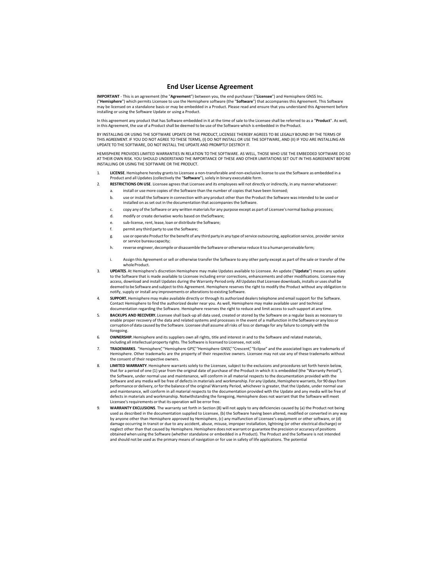#### **End User License Agreement**

**IMPORTANT** ‐ This is an agreement (the "**Agreement**") between you, the end purchaser ("**Licensee**") and Hemisphere GNSS Inc. ("**Hemisphere**") which permits Licensee to use the Hemisphere software (the "**Software**") that accompanies this Agreement. This Software may be licensed on a standalone basis or may be embedded in a Product. Please read and ensure that you understand this Agreement before installing or using the Software Update or using a Product.

In this agreement any product that has Software embedded in it at the time of sale to the Licensee shall be referred to as a "**Product**". As well, in this Agreement, the use of a Product shall be deemed to be use of the Software which is embedded in the Product.

BY INSTALLING OR USING THE SOFTWARE UPDATE OR THE PRODUCT, LICENSEE THEREBY AGREES TO BE LEGALLY BOUND BY THE TERMS OF THIS AGREEMENT. IF YOU DO NOT AGREE TO THESE TERMS, (I) DO NOT INSTALL OR USE THE SOFTWARE, AND (II) IF YOU ARE INSTALLING AN UPDATE TO THE SOFTWARE, DO NOT INSTALL THE UPDATE AND PROMPTLY DESTROY IT.

HEMISPHERE PROVIDES LIMITED WARRANTIES IN RELATION TO THE SOFTWARE. AS WELL, THOSE WHO USE THE EMBEDDED SOFTWARE DO SO AT THEIR OWN RISK. YOU SHOULD UNDERSTAND THE IMPORTANCE OF THESE AND OTHER LIMITATIONS SET OUT IN THIS AGREEMENT BEFORE<br>INSTALLING OR USING THE SOFTWARE OR THE PRODUCT.

- LICENSE. Hemisphere hereby grants to Licensee a non-transferable and non-exclusive license to use the Software as embedded in a Product and all Updates (collectively the "**Software**"), solely in binary executable form.
- 2. **RESTRICTIONS ON USE**. Licensee agrees that Licensee and its employees will not directly or indirectly, in any manner whatsoever: install or use more copies of the Software than the number of copies that have been licensed;
	- b. use or install the Software in connection with any product other than the Product the Software was intended to be used or installed on as set out in the documentation that accompanies the Software.
	- c. copy any of the Software or any written materials for any purpose except as part of Licensee's normal backup processes;
	- d. modify or create derivative works based on the Software;
	- e. sub‐license, rent, lease, loan or distribute the Software;
	- f. permit any third party to use the Software;
	- g. use or operate Product for the benefit of any third party in any type of service outsourcing, application service, provider service or service bureau capacity;
	- h. reverse engineer, decompile or disassemble the Software or otherwise reduce it to a human perceivable form;
	- Assign this Agreement or sell or otherwise transfer the Software to any other party except as part of the sale or transfer of the whole Product.
- 3. **UPDATES**. At Hemisphere's discretion Hemisphere may make Updates available to Licensee. An update ("**Update**") means any update to the Software that is made available to Licensee including error corrections, enhancements and other modifications. Licensee may access, download and install Updates during the Warranty Period only. All Updates that Licensee downloads, installs or uses shall be deemed to be Software and subject to this Agreement. Hemisphere reserves the right to modify the Product without any obligation to notify, supply or install any improvements or alterations to existing Software.
- 4. **SUPPORT.** Hemisphere may make available directly or through its authorized dealers telephone and email support for the Software. Contact Hemisphere to find the authorized dealer near you. As well, Hemisphere may make available user and technical documentation regarding the Software. Hemisphere reserves the right to reduce and limit access to such support at any time.
- 5. **BACKUPS AND RECOVERY.** Licensee shall back‐up all data used, created or stored by the Software on a regular basis as necessary to enable proper recovery of the data and related systems and processes in the event of a malfunction in the Software or any loss or corruption of data caused by the Software. Licensee shall assume all risks of loss or damage for any failure to comply with the foregoing.
- 6. **OWNERSHIP.** Hemisphere and its suppliers own all rights, title and interest in and to the Software and related materials, including all intellectual property rights. The Software is licensed to Licensee, not sold.
- 7. **TRADEMARKS**. "Hemisphere", "Hemisphere GPS", "Hemisphere GNSS", "Crescent", "Eclipse" and the associated logos are trademarks of Hemisphere. Other trademarks are the property of their respective owners. Licensee may not use any of these trademarks without the consent of their respective owners.
- 8. **LIMITED WARRANTY**. Hemisphere warrants solely to the Licensee, subject to the exclusions and procedures set forth herein below, that for a period of one (1) year from the original date of purchase of the Product in which it is embedded (the "Warranty Period"), the Software, under normal use and maintenance, will conform in all material respects to the documentation provided with the Software and any media will be free of defects in materials and workmanship. For any Update, Hemisphere warrants, for 90 days from performance or delivery, or for the balance of the original Warranty Period, whichever is greater, that the Update, under normal use and maintenance, will conform in all material respects to the documentation provided with the Update and any media will be free of defects in materials and workmanship. Notwithstanding the foregoing, Hemisphere does not warrant that the Software will meet Licensee's requirements or that its operation will be error free.
- 9. **WARRANTY EXCLUSIONS**. The warranty set forth in Section (8) will not apply to any deficiencies caused by (a) the Product not being used as described in the documentation supplied to Licensee, (b) the Software having been altered, modified or converted in any way by anyone other than Hemisphere approved by Hemisphere, (c) any malfunction of Licensee's equipment or other software, or (d) damage occurring in transit or due to any accident, abuse, misuse, improper installation, lightning (or other electrical discharge) or neglect other than that caused by Hemisphere. Hemisphere does not warrant or guarantee the precision or accuracy of positions obtained when using the Software (whether standalone or embedded in a Product). The Product and the Software is not intended and should not be used as the primary means of navigation or for use in safety of life applications. The potential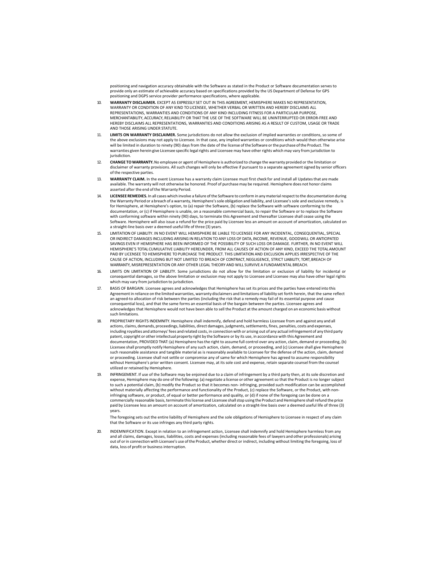positioning and navigation accuracy obtainable with the Software as stated in the Product or Software documentation serves to provide only an estimate of achievable accuracy based on specifications provided by the US Department of Defense for GPS positioning and DGPS service provider performance specifications, where applicable.

- 10. **WARRANTY DISCLAIMER.** EXCEPT AS EXPRESSLY SET OUT IN THIS AGREEMENT, HEMISPHERE MAKES NO REPRESENTATION, WARRANTY OR CONDITION OF ANY KIND TO LICENSEE, WHETHER VERBAL OR WRITTEN AND HEREBY DISCLAIMS ALL REPRESENTATIONS, WARRANTIES AND CONDITIONS OF ANY KIND INCLUDING FITNESS FOR A PARTICULAR PURPOSE, MERCHANTABILITY, ACCURACY, RELIABILITY OR THAT THE USE OF THE SOFTWARE WILL BE UNINTERRUPTED OR ERROR‐FREE AND HEREBY DISCLAIMS ALL REPRESENTATIONS, WARRANTIES AND CONDITIONS ARISING AS A RESULT OF CUSTOM, USAGE OR TRADE AND THOSE ARISING UNDER STATUTE.
- 11. **LIMITS ON WARRANTY DISCLAIMER.** Some jurisdictions do not allow the exclusion of implied warranties or conditions, so some of the above exclusions may not apply to Licensee. In that case, any implied warranties or conditions which would then otherwise arise will be limited in duration to ninety (90) days from the date of the license of the Software or the purchase of the Product. The warranties given herein give Licensee specific legal rights and Licensee may have other rights which may vary from jurisdiction to iurisdiction.
- 12. **CHANGE TO WARRANTY.** No employee or agent of Hemisphere is authorized to change the warranty provided or the limitation or disclaimer of warranty provisions. All such changes will only be effective if pursuant to a separate agreement signed by senior officers of the respective parties.
- 13. **WARRANTY CLAIM.** In the event Licensee has a warranty claim Licensee must first check for and install all Updates that are made available. The warranty will not otherwise be honored. Proof of purchase may be required. Hemisphere does not honor claims asserted after the end of the Warranty Period.
- 14. **LICENSEE REMEDIES.** In all cases which involve a failure of the Software to conform in any material respect to the documentation during the Warranty Period or a breach of a warranty, Hemisphere's sole obligation and liability, and Licensee's sole and exclusive remedy, is<br>for Hemisphere, at Hemisphere's option, to (a) repair the Software, (b) replace the So documentation, or (c) if Hemisphere is unable, on a reasonable commercial basis, to repair the Software or to replace the Software with conforming software within ninety (90) days, to terminate this Agreement and thereafter Licensee shall cease using the<br>Software. Hemisphere will also issue a refund for the price paid by Licensee less an amount on acc a straight‐line basis over a deemed useful life of three (3) years.
- 15. LIMITATION OF LIABILITY. IN NO EVENT WILL HEMISPHERE BE LIABLE TO LICENSEE FOR ANY INCIDENTAL, CONSEQUENTIAL, SPECIAL OR INDIRECT DAMAGES INCLUDING ARISING IN RELATION TO ANY LOSS OF DATA, INCOME, REVENUE, GOODWILL OR ANTICIPATED SAVINGS EVEN IF HEMISPHERE HAS BEEN INFORMED OF THE POSSIBILITY OF SUCH LOSS OR DAMAGE. FURTHER, IN NO EVENT WILL HEMISPHERE'S TOTAL CUMULATIVE LIABILITY HEREUNDER, FROM ALL CAUSES OF ACTION OF ANY KIND, EXCEED THE TOTAL AMOUNT PAID BY LICENSEE TO HEMISPHERE TO PURCHASE THE PRODUCT. THIS LIMITATION AND EXCLUSION APPLIES IRRESPECTIVE OF THE CAUSE OF ACTION, INCLUDING BUT NOT LIMITED TO BREACH OF CONTRACT, NEGLIGENCE, STRICT LIABILITY, TORT, BREACH OF WARRANTY, MISREPRESENTATION OR ANY OTHER LEGAL THEORY AND WILL SURVIVE A FUNDAMENTAL BREACH.
- 16. LIMITS ON LIMITATION OF LIABILITY. Some jurisdictions do not allow for the limitation or exclusion of liability for incidental or consequential damages, so the above limitation or exclusion may not apply to Licensee and Licensee may also have other legal rights which may vary from jurisdiction to jurisdiction.
- 17. BASIS OF BARGAIN. Licensee agrees and acknowledges that Hemisphere has set its prices and the parties have entered into this Agreement in reliance on the limited warranties, warranty disclaimers and limitations of liability set forth herein, that the same reflect an agreed‐to allocation of risk between the parties (including the risk that a remedy may fail of its essential purpose and cause consequential loss), and that the same forms an essential basis of the bargain between the parties. Licensee agrees and acknowledges that Hemisphere would not have been able to sell the Product at the amount charged on an economic basis without such limitations.
- 18. PROPRIETARY RIGHTS INDEMNITY. Hemisphere shall indemnify, defend and hold harmless Licensee from and against any and all actions, claims, demands, proceedings, liabilities, direct damages, judgments, settlements, fines, penalties, costs and expenses,<br>including royalties and attorneys' fees and related costs, in connection with or arising out patent, copyright or other intellectual property right by the Software or by its use, in accordance with this Agreement and documentation, PROVIDED THAT: (a) Hemisphere has the right to assume full control over any action, claim, demand or proceeding, (b) Licensee shall promptly notify Hemisphere of any such action, claim, demand, or proceeding, and (c) Licensee shall give Hemisphere<br>such reasonable assistance and tangible material as is reasonably available to Licensee for or proceeding. Licensee shall not settle or compromise any of same for which Hemisphere has agreed to assume responsibility without Hemisphere's prior written consent. Licensee may, at its sole cost and expense, retain separate counsel from the counsel utilized or retained by Hemisphere.
- 19. INFRINGEMENT. If use of the Software may be enjoined due to a claim of infringement by a third party then, at its sole discretion and expense, Hemisphere may do one of the following: (a) negotiate a license or other agreement so that the Product is no longer subject to such a potential claim, (b) modify the Product so that it becomes non‐ infringing, provided such modification can be accomplished without materially affecting the performance and functionality of the Product, (c) replace the Software, or the Product, with noninfringing software, or product, of equal or better performance and quality, or (d) if none of the foregoing can be done on a commercially reasonable basis, terminate this license and Licensee shall stop using the Product and Hemisphere shall refund the price paid by Licensee less an amount on account of amortization, calculated on a straight‐line basis over a deemed useful life of three (3) years.

The foregoing sets out the entire liability of Hemisphere and the sole obligations of Hemisphere to Licensee in respect of any claim that the Software or its use infringes any third party rights.

20. INDEMNIFICATION. Except in relation to an infringement action, Licensee shall indemnify and hold Hemisphere harmless from any and all claims, damages, losses, liabilities, costs and expenses (including reasonable fees of lawyers and other professionals) arising out of or in connection with Licensee's use of the Product, whether direct or indirect, including without limiting the foregoing, loss of data, loss of profit or business interruption.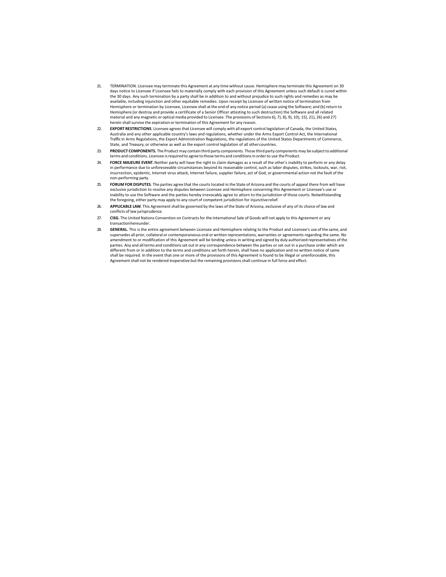- 21. TERMINATION. Licensee may terminate this Agreement at any time without cause. Hemisphere may terminate this Agreement on 30 days notice to Licensee if Licensee fails to materially comply with each provision of this Agreement unless such default is cured within the 30 days. Any such termination by a party shall be in addition to and without prejudice to such rights and remedies as may be available, including injunction and other equitable remedies. Upon receipt by Licensee of written notice of termination from Hemisphere or termination by Licensee, Licensee shall at the end of any notice period (a) cease using the Software; and (b) return to Hemisphere (or destroy and provide a certificate of a Senior Officer attesting to such destruction) the Software and all related material and any magnetic or optical media provided to Licensee. The provisions of Sections 6), 7), 8), 9), 10), 15), 21), 26) and 27) herein shall survive the expiration or termination of this Agreement for any reason.
- 22. **EXPORT RESTRICTIONS**. Licensee agrees that Licensee will comply with all export control legislation of Canada, the United States, Australia and any other applicable country's laws and regulations, whether under the Arms Export Control Act, the International Traffic in Arms Regulations, the Export Administration Regulations, the regulations of the United States Departments of Commerce,<br>State, and Treasury, or otherwise as well as the export control legislation of all other cou
- 23. **PRODUCT COMPONENTS.** The Product may contain third party components. Those third party components may be subject to additional terms and conditions. Licensee is required to agree to those terms and conditions in order to use the Product.
- 24. **FORCE MAJEURE EVENT.** Neither party will have the right to claim damages as a result of the other's inability to perform or any delay in performance due to unforeseeable circumstances beyond its reasonable control, such as labor disputes, strikes, lockouts, war, riot, insurrection, epidemic, Internet virus attack, Internet failure, supplier failure, act of God, or governmental action not the fault of the non‐performing party.
- 25. **FORUM FOR DISPUTES**. The parties agree that the courts located in the State of Arizona and the courts of appeal there from will have exclusive jurisdiction to resolve any disputes between Licensee and Hemisphere concerning this Agreement or Licensee's use or<br>inability to use the Software and the parties hereby irrevocably agree to attorn to the jurisdic the foregoing, either party may apply to any court of competent jurisdiction for injunctive relief.
- 26. **APPLICABLE LAW**. This Agreement shall be governed by the laws of the State of Arizona, exclusive of any of its choice of law and conflicts of law jurisprudence.
- 27. **CISG.** The United Nations Convention on Contracts for the International Sale of Goods will not apply to this Agreement or any transaction hereunder.
- 28. **GENERAL.** This is the entire agreement between Licensee and Hemisphere relating to the Product and Licensee's use of the same, and supersedes all prior, collateral or contemporaneous oral or written representations, warranties or agreements regarding the same. No amendment to or modification of this Agreement will be binding unless in writing and signed by duly authorized representatives of the parties. Any and all terms and conditions set out in any correspondence between the parties or set out in a purchase order which are different from or in addition to the terms and conditions set forth herein, shall have no application and no written notice of same shall be required. In the event that one or more of the provisions of this Agreement is found to be illegal or unenforceable, this Agreement shall not be rendered inoperative but the remaining provisions shall continue in full force and effect.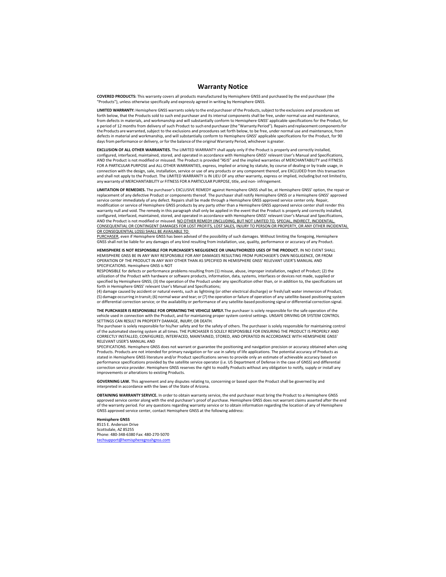#### **Warranty Notice**

**COVERED PRODUCTS:** This warranty covers all products manufactured by Hemisphere GNSS and purchased by the end purchaser (the "Products"), unless otherwise specifically and expressly agreed in writing by Hemisphere GNSS.

**LIMITED WARRANTY:** Hemisphere GNSS warrants solely to the end purchaser of the Products, subject to the exclusions and procedures set forth below, that the Products sold to such end purchaser and its internal components shall be free, under normal use and maintenance, from defects in materials, and workmanship and will substantially conform to Hemisphere GNSS' applicable specifications for the Product, for a period of 12 months from delivery of such Product to such end purchaser (the "Warranty Period"). Repairs and replacement components for the Products are warranted, subject to the exclusions and procedures set forth below, to be free, under normal use and maintenance, from defects in material and workmanship, and will substantially conform to Hemisphere GNSS' applicable specifications for the Product, for 90 days from performance or delivery, or for the balance of the original Warranty Period, whichever is greater.

**EXCLUSION OF ALL OTHER WARRANTIES.** The LIMITED WARRANTY shall apply only if the Product is properly and correctly installed, configured, interfaced, maintained, stored, and operated in accordance with Hemisphere GNSS' relevant User's Manual and Specifications, AND the Product is not modified or misused. The Product is provided "AS IS" and the implied warranties of MERCHANTABILITY and FITNESS FOR A PARTICULAR PURPOSE and ALL OTHER WARRANTIES, express, implied or arising by statute, by course of dealing or by trade usage, in connection with the design, sale, installation, service or use of any products or any component thereof, are EXCLUDED from this transaction and shall not apply to the Product. The LIMITED WARRANTY is IN LIEU OF any other warranty, express or implied, including but not limited to, any warranty of MERCHANTABILITY or FITNESS FOR A PARTICULAR PURPOSE, title, and non‐ infringement.

**LIMITATION OF REMEDIES.** The purchaser's EXCLUSIVE REMEDY against Hemisphere GNSS shall be, at Hemisphere GNSS' option, the repair or replacement of any defective Product or components thereof. The purchaser shall notify Hemisphere GNSS or a Hemisphere GNSS' approved service center immediately of any defect. Repairs shall be made through a Hemisphere GNSS approved service center only. Repair, modification or service of Hemisphere GNSS products by any party other than a Hemisphere GNSS approved service center shall render this warranty null and void. The remedy in this paragraph shall only be applied in the event that the Product is properly and correctly installed, configured, interfaced, maintained, stored, and operated in accordance with Hemisphere GNSS' relevant User's Manual and Specifications, AND the Product is not modified or misused. NO OTHER REMEDY (INCLUDING, BUT NOT LIMITED TO, SPECIAL, INDIRECT, INCIDENTAL, CONSEQUENTIAL OR CONTINGENT DAMAGES FOR LOST PROFITS, LOST SALES, INJURY TO PERSON OR PROPERTY, OR ANY OTHER INCIDENTAL OR CONSEQUENTIAL LOSS) SHALL BE AVAILABLE TO

PURCHASER, even if Hemisphere GNSS has been advised of the possibility of such damages. Without limiting the foregoing, Hemisphere GNSS shall not be liable for any damages of any kind resulting from installation, use, quality, performance or accuracy of any Product.

**HEMISPHERE IS NOT RESPONSIBLE FOR PURCHASER'S NEGLIGENCE OR UNAUTHORIZED USES OF THE PRODUCT.** IN NO EVENT SHALL HEMISPHERE GNSS BE IN ANY WAY RESPONSIBLE FOR ANY DAMAGES RESULTING FROM PURCHASER'S OWN NEGLIGENCE, OR FROM OPERATION OF THE PRODUCT IN ANY WAY OTHER THAN AS SPECIFIED IN HEMISPHERE GNSS' RELEVANT USER'S MANUAL AND SPECIFICATIONS. Hemisphere GNSS is NOT

RESPONSIBLE for defects or performance problems resulting from (1) misuse, abuse, improper installation, neglect of Product; (2) the utilization of the Product with hardware or software products, information, data, systems, interfaces or devices not made, supplied or specified by Hemisphere GNSS; (3) the operation of the Product under any specification other than, or in addition to, the specifications set forth in Hemisphere GNSS' relevant User's Manual and Specifications;

(4) damage caused by accident or natural events, such as lightning (or other electrical discharge) or fresh/salt water immersion of Product; (5) damage occurring in transit; (6) normal wear and tear; or (7) the operation or failure of operation of any satellite‐based positioning system or differential correction service; or the availability or performance of any satellite‐based positioning signal or differential correction signal.

**THE PURCHASER IS RESPONSIBLE FOR OPERATING THE VEHICLE SAFELY.** The purchaser is solely responsible for the safe operation of the vehicle used in connection with the Product, and for maintaining proper system control settings. UNSAFE DRIVING OR SYSTEM CONTROL SETTINGS CAN RESULT IN PROPERTY DAMAGE, INJURY, OR DEATH.

The purchaser is solely responsible for his/her safety and for the safety of others. The purchaser is solely responsible for maintaining control<br>of the automated steering system at all times. THE PURCHASER IS SOLELY RESPON CORRECTLY INSTALLED, CONFIGURED, INTERFACED, MAINTAINED, STORED, AND OPERATED IN ACCORDANCE WITH HEMISPHERE GNSS' RELEVANT USER'S MANUAL AND

SPECIFICATIONS. Hemisphere GNSS does not warrant or guarantee the positioning and navigation precision or accuracy obtained when using<br>Products. Products are not intended for primary navigation or for use in safety of life stated in Hemisphere GNSS literature and/or Product specifications serves to provide only an estimate of achievable accuracy based on performance specifications provided by the satellite service operator (i.e. US Department of Defense in the case of GNSS) and differential correction service provider. Hemisphere GNSS reserves the right to modify Products without any obligation to notify, supply or install any improvements or alterations to existing Products.

**GOVERNING LAW.** This agreement and any disputes relating to, concerning or based upon the Product shall be governed by and interpreted in accordance with the laws of the State of Arizona.

**OBTAINING WARRANTY SERVICE.** In order to obtain warranty service, the end purchaser must bring the Product to a Hemisphere GNSS approved service center along with the end purchaser's proof of purchase. Hemisphere GNSS does not warrant claims asserted after the end of the warranty period. For any questions regarding warranty service or to obtain information regarding the location of any of Hemisphere GNSS approved service center, contact Hemisphere GNSS at the following address:

**Hemisphere GNSS** 

8515 E. Anderson Drive Scottsdale, AZ 85255 Phone: 480‐348‐6380 Fax: 480‐270‐5070 techsupport@hemispheregnsshgnss